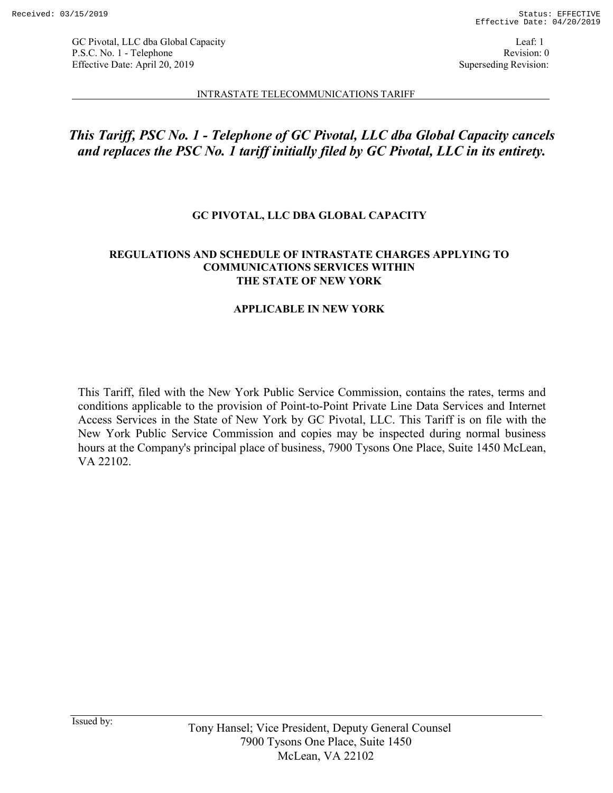Leaf: 1 Revision: 0 Superseding Revision:

#### INTRASTATE TELECOMMUNICATIONS TARIFF

# *This Tariff, PSC No. 1 - Telephone of GC Pivotal, LLC dba Global Capacity cancels and replaces the PSC No. 1 tariff initially filed by GC Pivotal, LLC in its entirety.*

# **GC PIVOTAL, LLC DBA GLOBAL CAPACITY**

# **REGULATIONS AND SCHEDULE OF INTRASTATE CHARGES APPLYING TO COMMUNICATIONS SERVICES WITHIN THE STATE OF NEW YORK**

# **APPLICABLE IN NEW YORK**

This Tariff, filed with the New York Public Service Commission, contains the rates, terms and conditions applicable to the provision of Point-to-Point Private Line Data Services and Internet Access Services in the State of New York by GC Pivotal, LLC. This Tariff is on file with the New York Public Service Commission and copies may be inspected during normal business hours at the Company's principal place of business, 7900 Tysons One Place, Suite 1450 McLean, VA 22102.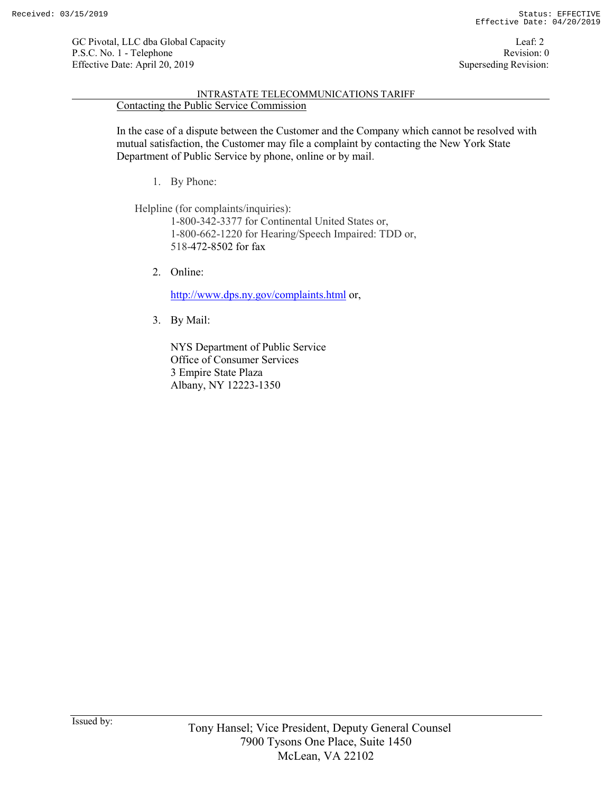#### INTRASTATE TELECOMMUNICATIONS TARIFF Contacting the Public Service Commission

In the case of a dispute between the Customer and the Company which cannot be resolved with mutual satisfaction, the Customer may file a complaint by contacting the New York State Department of Public Service by phone, online or by mail.

1. By Phone:

Helpline (for complaints/inquiries):

1-800-342-3377 for Continental United States or, 1-800-662-1220 for Hearing/Speech Impaired: TDD or, 518-472-8502 for fax

2. Online:

http://www.dps.ny.gov/complaints.html or,

3. By Mail:

NYS Department of Public Service Office of Consumer Services 3 Empire State Plaza Albany, NY 12223-1350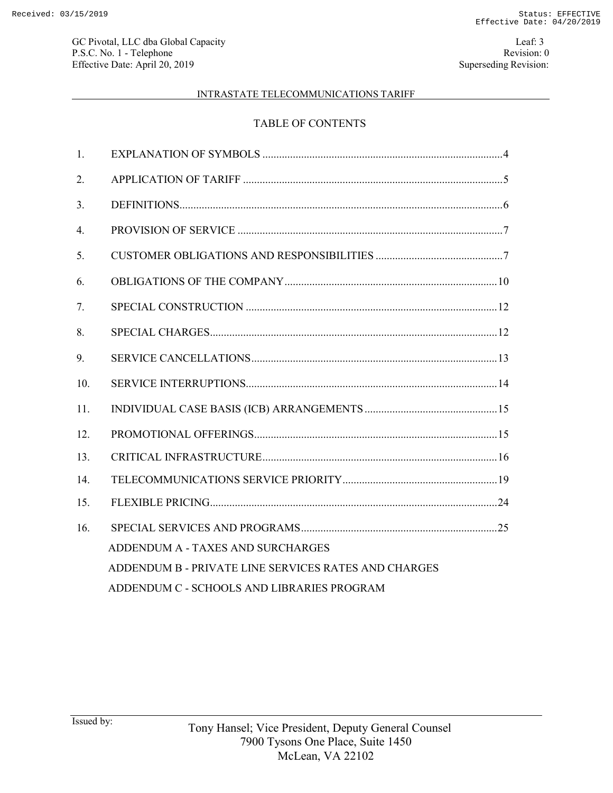# INTRASTATE TELECOMMUNICATIONS TARIFF

# TABLE OF CONTENTS

| $\mathbf{1}$ .   |                                                      |  |
|------------------|------------------------------------------------------|--|
| 2.               |                                                      |  |
| 3 <sub>1</sub>   |                                                      |  |
| $\overline{4}$ . |                                                      |  |
| 5 <sub>1</sub>   |                                                      |  |
| 6.               |                                                      |  |
| 7.               |                                                      |  |
| 8.               |                                                      |  |
| 9.               |                                                      |  |
| 10.              |                                                      |  |
| 11.              |                                                      |  |
| 12.              |                                                      |  |
| 13.              |                                                      |  |
| 14.              |                                                      |  |
| 15.              |                                                      |  |
| 16.              |                                                      |  |
|                  | ADDENDUM A - TAXES AND SURCHARGES                    |  |
|                  | ADDENDUM B - PRIVATE LINE SERVICES RATES AND CHARGES |  |
|                  | ADDENDUM C - SCHOOLS AND LIBRARIES PROGRAM           |  |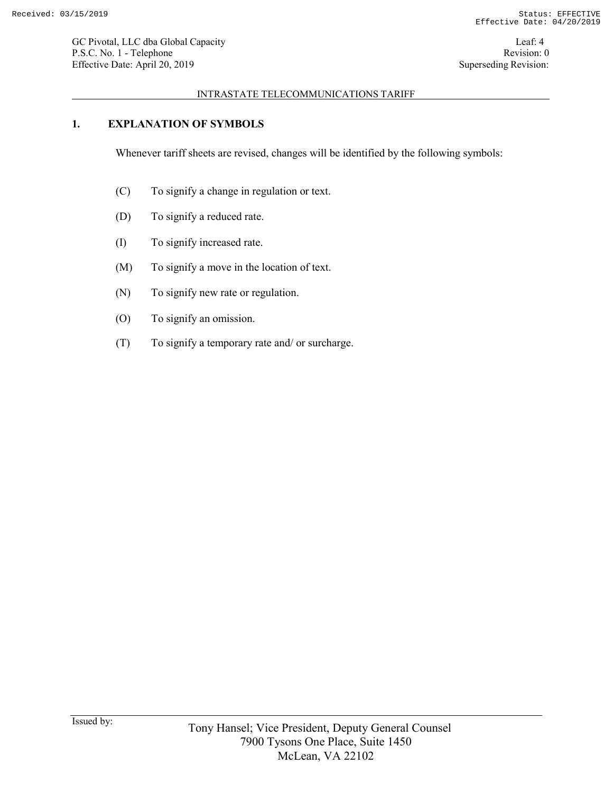### INTRASTATE TELECOMMUNICATIONS TARIFF

# **1. EXPLANATION OF SYMBOLS**

Whenever tariff sheets are revised, changes will be identified by the following symbols:

- (C) To signify a change in regulation or text.
- (D) To signify a reduced rate.
- (I) To signify increased rate.
- (M) To signify a move in the location of text.
- (N) To signify new rate or regulation.
- (O) To signify an omission.
- (T) To signify a temporary rate and/ or surcharge.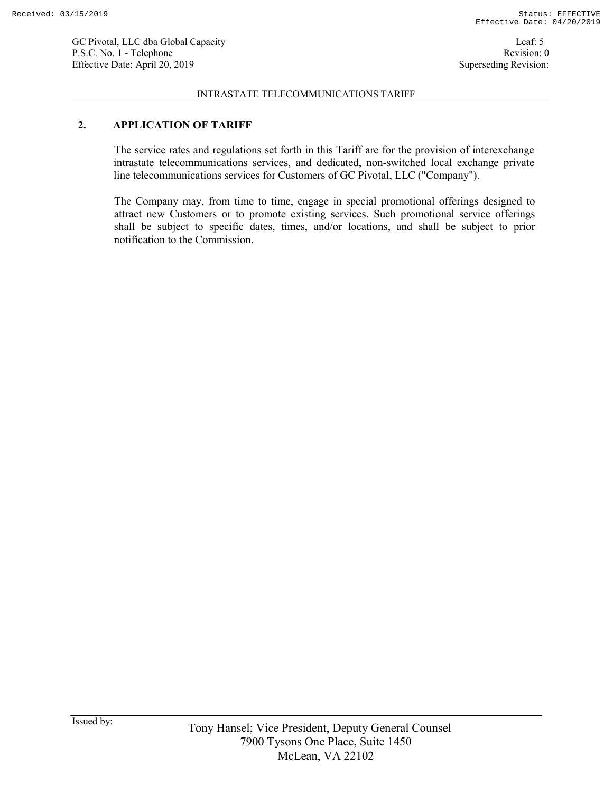#### INTRASTATE TELECOMMUNICATIONS TARIFF

# **2. APPLICATION OF TARIFF**

The service rates and regulations set forth in this Tariff are for the provision of interexchange intrastate telecommunications services, and dedicated, non-switched local exchange private line telecommunications services for Customers of GC Pivotal, LLC ("Company").

The Company may, from time to time, engage in special promotional offerings designed to attract new Customers or to promote existing services. Such promotional service offerings shall be subject to specific dates, times, and/or locations, and shall be subject to prior notification to the Commission.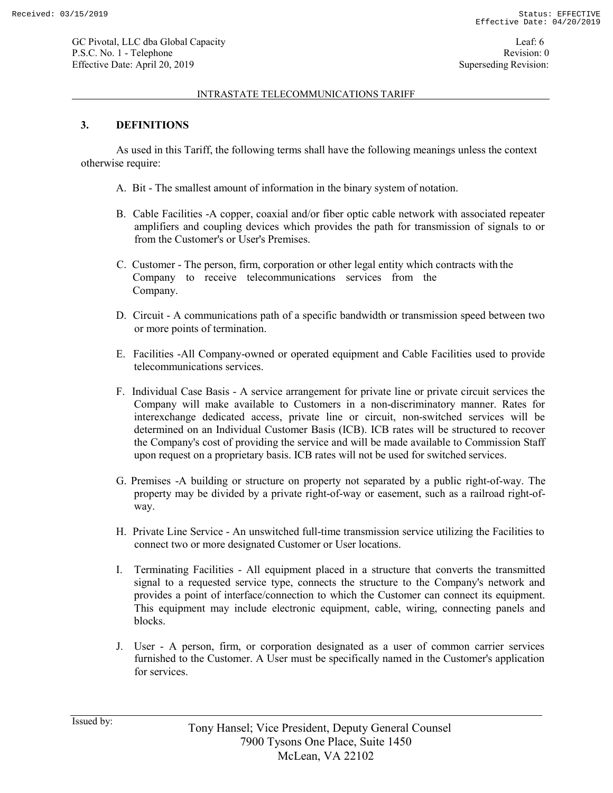#### INTRASTATE TELECOMMUNICATIONS TARIFF

### **3. DEFINITIONS**

As used in this Tariff, the following terms shall have the following meanings unless the context otherwise require:

- A. Bit The smallest amount of information in the binary system of notation.
- B. Cable Facilities -A copper, coaxial and/or fiber optic cable network with associated repeater amplifiers and coupling devices which provides the path for transmission of signals to or from the Customer's or User's Premises.
- C. Customer The person, firm, corporation or other legal entity which contracts with the Company to receive telecommunications services from the Company.
- D. Circuit A communications path of a specific bandwidth or transmission speed between two or more points of termination.
- E. Facilities -All Company-owned or operated equipment and Cable Facilities used to provide telecommunications services.
- F. Individual Case Basis A service arrangement for private line or private circuit services the Company will make available to Customers in a non-discriminatory manner. Rates for interexchange dedicated access, private line or circuit, non-switched services will be determined on an Individual Customer Basis (ICB). ICB rates will be structured to recover the Company's cost of providing the service and will be made available to Commission Staff upon request on a proprietary basis. ICB rates will not be used for switched services.
- G. Premises -A building or structure on property not separated by a public right-of-way. The property may be divided by a private right-of-way or easement, such as a railroad right-ofway.
- H. Private Line Service An unswitched full-time transmission service utilizing the Facilities to connect two or more designated Customer or User locations.
- I. Terminating Facilities All equipment placed in a structure that converts the transmitted signal to a requested service type, connects the structure to the Company's network and provides a point of interface/connection to which the Customer can connect its equipment. This equipment may include electronic equipment, cable, wiring, connecting panels and blocks.
- J. User A person, firm, or corporation designated as a user of common carrier services furnished to the Customer. A User must be specifically named in the Customer's application for services.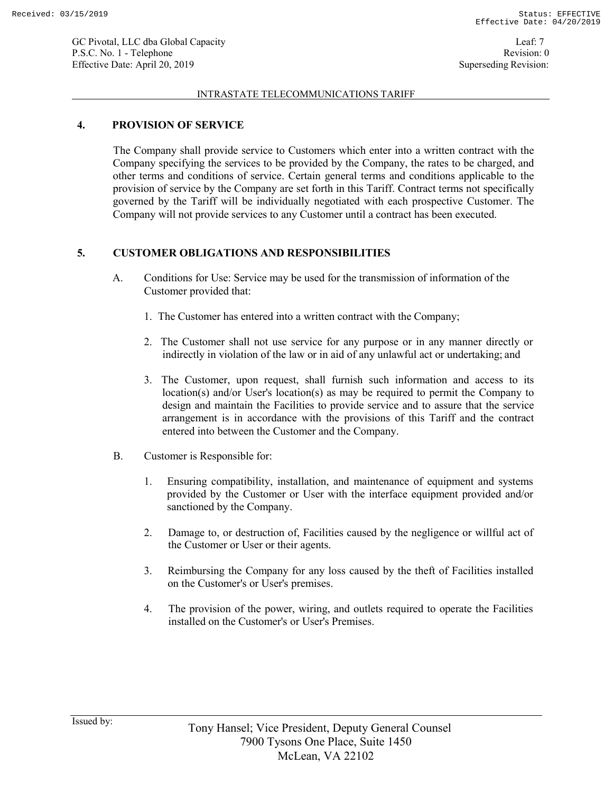#### INTRASTATE TELECOMMUNICATIONS TARIFF

### **4. PROVISION OF SERVICE**

The Company shall provide service to Customers which enter into a written contract with the Company specifying the services to be provided by the Company, the rates to be charged, and other terms and conditions of service. Certain general terms and conditions applicable to the provision of service by the Company are set forth in this Tariff. Contract terms not specifically governed by the Tariff will be individually negotiated with each prospective Customer. The Company will not provide services to any Customer until a contract has been executed.

# **5. CUSTOMER OBLIGATIONS AND RESPONSIBILITIES**

- A. Conditions for Use: Service may be used for the transmission of information of the Customer provided that:
	- 1. The Customer has entered into a written contract with the Company;
	- 2. The Customer shall not use service for any purpose or in any manner directly or indirectly in violation of the law or in aid of any unlawful act or undertaking; and
	- 3. The Customer, upon request, shall furnish such information and access to its location(s) and/or User's location(s) as may be required to permit the Company to design and maintain the Facilities to provide service and to assure that the service arrangement is in accordance with the provisions of this Tariff and the contract entered into between the Customer and the Company.
- B. Customer is Responsible for:
	- 1. Ensuring compatibility, installation, and maintenance of equipment and systems provided by the Customer or User with the interface equipment provided and/or sanctioned by the Company.
	- 2. Damage to, or destruction of, Facilities caused by the negligence or willful act of the Customer or User or their agents.
	- 3. Reimbursing the Company for any loss caused by the theft of Facilities installed on the Customer's or User's premises.
	- 4. The provision of the power, wiring, and outlets required to operate the Facilities installed on the Customer's or User's Premises.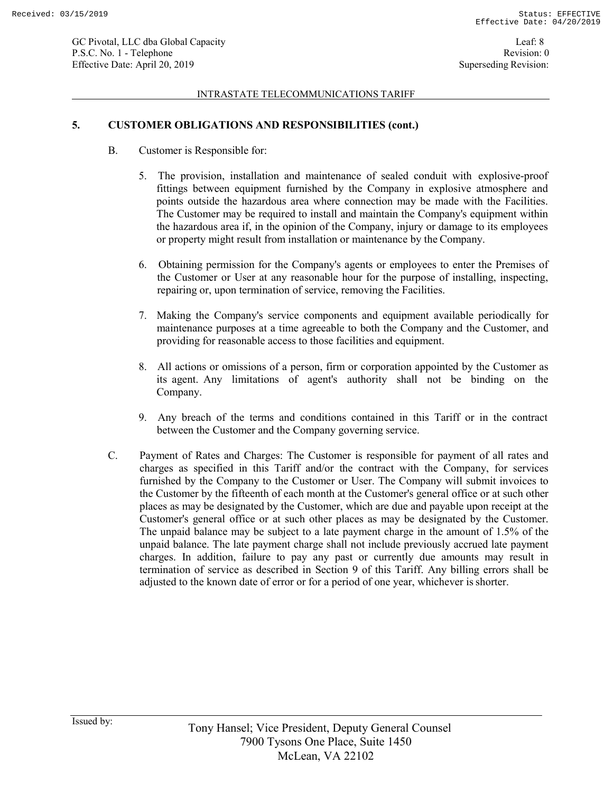#### INTRASTATE TELECOMMUNICATIONS TARIFF

# **5. CUSTOMER OBLIGATIONS AND RESPONSIBILITIES (cont.)**

- B. Customer is Responsible for:
	- 5. The provision, installation and maintenance of sealed conduit with explosive-proof fittings between equipment furnished by the Company in explosive atmosphere and points outside the hazardous area where connection may be made with the Facilities. The Customer may be required to install and maintain the Company's equipment within the hazardous area if, in the opinion of the Company, injury or damage to its employees or property might result from installation or maintenance by the Company.
	- 6. Obtaining permission for the Company's agents or employees to enter the Premises of the Customer or User at any reasonable hour for the purpose of installing, inspecting, repairing or, upon termination of service, removing the Facilities.
	- 7. Making the Company's service components and equipment available periodically for maintenance purposes at a time agreeable to both the Company and the Customer, and providing for reasonable access to those facilities and equipment.
	- 8. All actions or omissions of a person, firm or corporation appointed by the Customer as its agent. Any limitations of agent's authority shall not be binding on the Company.
	- 9. Any breach of the terms and conditions contained in this Tariff or in the contract between the Customer and the Company governing service.
- C. Payment of Rates and Charges: The Customer is responsible for payment of all rates and charges as specified in this Tariff and/or the contract with the Company, for services furnished by the Company to the Customer or User. The Company will submit invoices to the Customer by the fifteenth of each month at the Customer's general office or at such other places as may be designated by the Customer, which are due and payable upon receipt at the Customer's general office or at such other places as may be designated by the Customer. The unpaid balance may be subject to a late payment charge in the amount of 1.5% of the unpaid balance. The late payment charge shall not include previously accrued late payment charges. In addition, failure to pay any past or currently due amounts may result in termination of service as described in Section 9 of this Tariff. Any billing errors shall be adjusted to the known date of error or for a period of one year, whichever isshorter.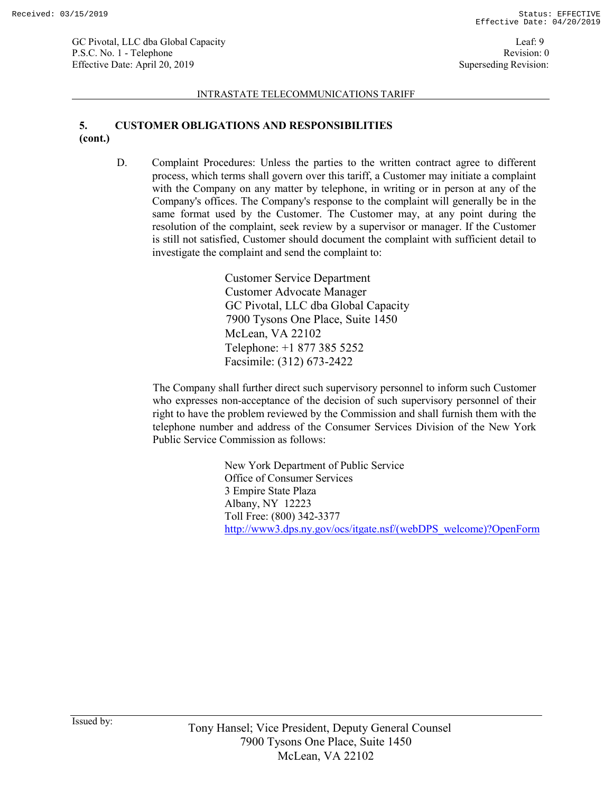#### INTRASTATE TELECOMMUNICATIONS TARIFF

# **5. CUSTOMER OBLIGATIONS AND RESPONSIBILITIES (cont.)**

D. Complaint Procedures: Unless the parties to the written contract agree to different process, which terms shall govern over this tariff, a Customer may initiate a complaint with the Company on any matter by telephone, in writing or in person at any of the Company's offices. The Company's response to the complaint will generally be in the same format used by the Customer. The Customer may, at any point during the resolution of the complaint, seek review by a supervisor or manager. If the Customer is still not satisfied, Customer should document the complaint with sufficient detail to investigate the complaint and send the complaint to:

> Customer Service Department Customer Advocate Manager GC Pivotal, LLC dba Global Capacity 7900 Tysons One Place, Suite 1450 McLean, VA 22102 Telephone: +1 877 385 5252 Facsimile: (312) 673-2422

The Company shall further direct such supervisory personnel to inform such Customer who expresses non-acceptance of the decision of such supervisory personnel of their right to have the problem reviewed by the Commission and shall furnish them with the telephone number and address of the Consumer Services Division of the New York Public Service Commission as follows:

> New York Department of Public Service Office of Consumer Services 3 Empire State Plaza Albany, NY 12223 Toll Free: (800) 342-3377 http://www3.dps.ny.gov/ocs/itgate.nsf/(webDPS\_welcome)?OpenForm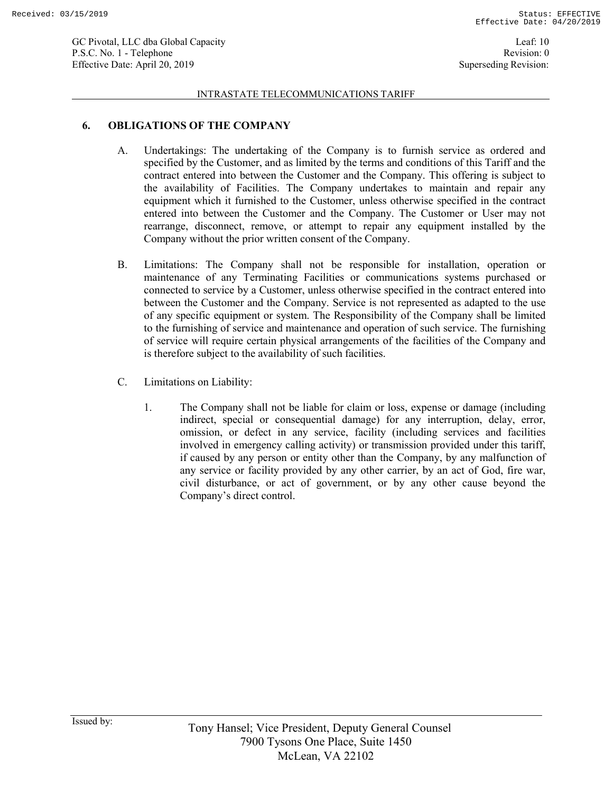#### INTRASTATE TELECOMMUNICATIONS TARIFF

### **6. OBLIGATIONS OF THE COMPANY**

- A. Undertakings: The undertaking of the Company is to furnish service as ordered and specified by the Customer, and as limited by the terms and conditions of this Tariff and the contract entered into between the Customer and the Company. This offering is subject to the availability of Facilities. The Company undertakes to maintain and repair any equipment which it furnished to the Customer, unless otherwise specified in the contract entered into between the Customer and the Company. The Customer or User may not rearrange, disconnect, remove, or attempt to repair any equipment installed by the Company without the prior written consent of the Company.
- B. Limitations: The Company shall not be responsible for installation, operation or maintenance of any Terminating Facilities or communications systems purchased or connected to service by a Customer, unless otherwise specified in the contract entered into between the Customer and the Company. Service is not represented as adapted to the use of any specific equipment or system. The Responsibility of the Company shall be limited to the furnishing of service and maintenance and operation of such service. The furnishing of service will require certain physical arrangements of the facilities of the Company and is therefore subject to the availability of such facilities.
- C. Limitations on Liability:
	- 1. The Company shall not be liable for claim or loss, expense or damage (including indirect, special or consequential damage) for any interruption, delay, error, omission, or defect in any service, facility (including services and facilities involved in emergency calling activity) or transmission provided under this tariff, if caused by any person or entity other than the Company, by any malfunction of any service or facility provided by any other carrier, by an act of God, fire war, civil disturbance, or act of government, or by any other cause beyond the Company's direct control.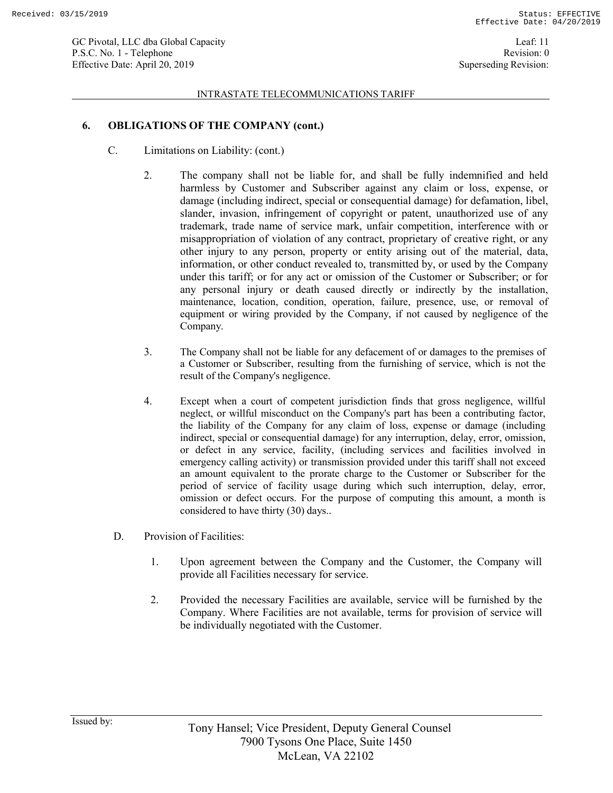#### INTRASTATE TELECOMMUNICATIONS TARIFF

### **6. OBLIGATIONS OF THE COMPANY (cont.)**

- C. Limitations on Liability: (cont.)
	- 2. The company shall not be liable for, and shall be fully indemnified and held harmless by Customer and Subscriber against any claim or loss, expense, or damage (including indirect, special or consequential damage) for defamation, libel, slander, invasion, infringement of copyright or patent, unauthorized use of any trademark, trade name of service mark, unfair competition, interference with or misappropriation of violation of any contract, proprietary of creative right, or any other injury to any person, property or entity arising out of the material, data, information, or other conduct revealed to, transmitted by, or used by the Company under this tariff; or for any act or omission of the Customer or Subscriber; or for any personal injury or death caused directly or indirectly by the installation, maintenance, location, condition, operation, failure, presence, use, or removal of equipment or wiring provided by the Company, if not caused by negligence of the Company.
	- 3. The Company shall not be liable for any defacement of or damages to the premises of a Customer or Subscriber, resulting from the furnishing of service, which is not the result of the Company's negligence.
	- 4. Except when a court of competent jurisdiction finds that gross negligence, willful neglect, or willful misconduct on the Company's part has been a contributing factor, the liability of the Company for any claim of loss, expense or damage (including indirect, special or consequential damage) for any interruption, delay, error, omission, or defect in any service, facility, (including services and facilities involved in emergency calling activity) or transmission provided under this tariff shall not exceed an amount equivalent to the prorate charge to the Customer or Subscriber for the period of service of facility usage during which such interruption, delay, error, omission or defect occurs. For the purpose of computing this amount, a month is considered to have thirty (30) days..
	- D. Provision of Facilities:
		- 1. Upon agreement between the Company and the Customer, the Company will provide all Facilities necessary for service.
		- 2. Provided the necessary Facilities are available, service will be furnished by the Company. Where Facilities are not available, terms for provision of service will be individually negotiated with the Customer.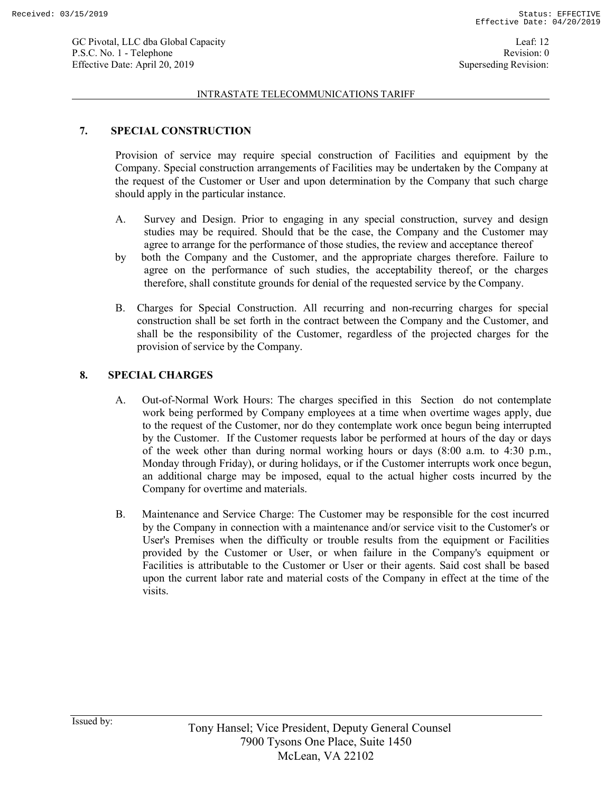#### INTRASTATE TELECOMMUNICATIONS TARIFF

# **7. SPECIAL CONSTRUCTION**

Provision of service may require special construction of Facilities and equipment by the Company. Special construction arrangements of Facilities may be undertaken by the Company at the request of the Customer or User and upon determination by the Company that such charge should apply in the particular instance.

- A. Survey and Design. Prior to engaging in any special construction, survey and design studies may be required. Should that be the case, the Company and the Customer may agree to arrange for the performance of those studies, the review and acceptance thereof
- by both the Company and the Customer, and the appropriate charges therefore. Failure to agree on the performance of such studies, the acceptability thereof, or the charges therefore, shall constitute grounds for denial of the requested service by the Company.
- B. Charges for Special Construction. All recurring and non-recurring charges for special construction shall be set forth in the contract between the Company and the Customer, and shall be the responsibility of the Customer, regardless of the projected charges for the provision of service by the Company.

# **8. SPECIAL CHARGES**

- A. Out-of-Normal Work Hours: The charges specified in this Section do not contemplate work being performed by Company employees at a time when overtime wages apply, due to the request of the Customer, nor do they contemplate work once begun being interrupted by the Customer. If the Customer requests labor be performed at hours of the day or days of the week other than during normal working hours or days (8:00 a.m. to 4:30 p.m., Monday through Friday), or during holidays, or if the Customer interrupts work once begun, an additional charge may be imposed, equal to the actual higher costs incurred by the Company for overtime and materials.
- B. Maintenance and Service Charge: The Customer may be responsible for the cost incurred by the Company in connection with a maintenance and/or service visit to the Customer's or User's Premises when the difficulty or trouble results from the equipment or Facilities provided by the Customer or User, or when failure in the Company's equipment or Facilities is attributable to the Customer or User or their agents. Said cost shall be based upon the current labor rate and material costs of the Company in effect at the time of the visits.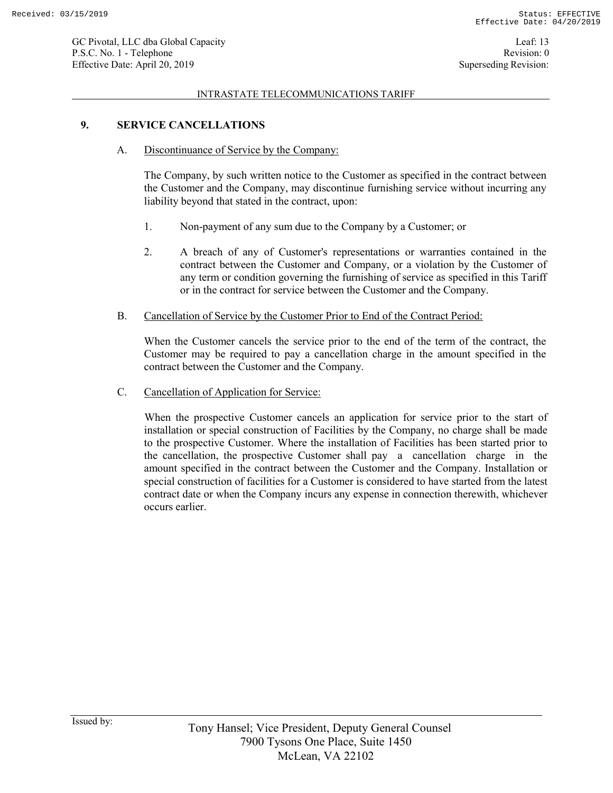#### INTRASTATE TELECOMMUNICATIONS TARIFF

### **9. SERVICE CANCELLATIONS**

A. Discontinuance of Service by the Company:

The Company, by such written notice to the Customer as specified in the contract between the Customer and the Company, may discontinue furnishing service without incurring any liability beyond that stated in the contract, upon:

- 1. Non-payment of any sum due to the Company by a Customer; or
- 2. A breach of any of Customer's representations or warranties contained in the contract between the Customer and Company, or a violation by the Customer of any term or condition governing the furnishing of service as specified in this Tariff or in the contract for service between the Customer and the Company.
- B. Cancellation of Service by the Customer Prior to End of the Contract Period:

When the Customer cancels the service prior to the end of the term of the contract, the Customer may be required to pay a cancellation charge in the amount specified in the contract between the Customer and the Company.

C. Cancellation of Application for Service:

When the prospective Customer cancels an application for service prior to the start of installation or special construction of Facilities by the Company, no charge shall be made to the prospective Customer. Where the installation of Facilities has been started prior to the cancellation, the prospective Customer shall pay a cancellation charge in the amount specified in the contract between the Customer and the Company. Installation or special construction of facilities for a Customer is considered to have started from the latest contract date or when the Company incurs any expense in connection therewith, whichever occurs earlier.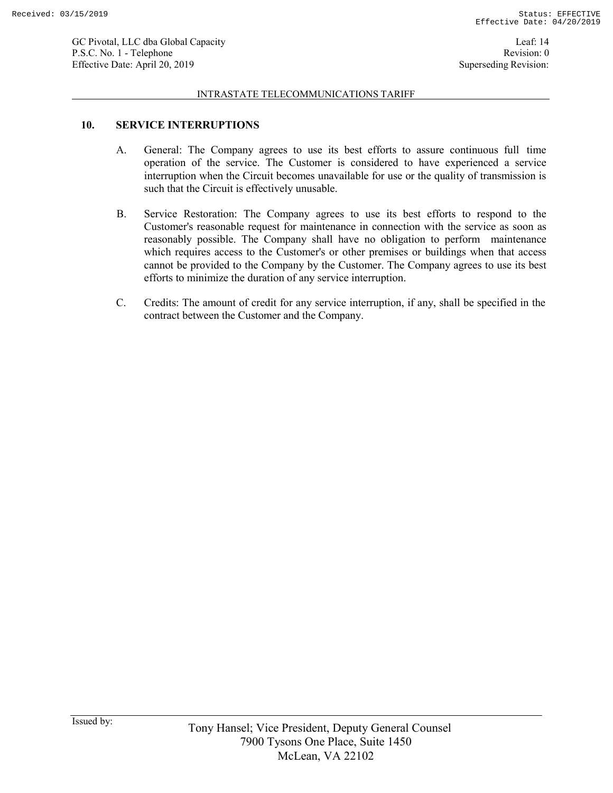#### INTRASTATE TELECOMMUNICATIONS TARIFF

### **10. SERVICE INTERRUPTIONS**

- A. General: The Company agrees to use its best efforts to assure continuous full time operation of the service. The Customer is considered to have experienced a service interruption when the Circuit becomes unavailable for use or the quality of transmission is such that the Circuit is effectively unusable.
- B. Service Restoration: The Company agrees to use its best efforts to respond to the Customer's reasonable request for maintenance in connection with the service as soon as reasonably possible. The Company shall have no obligation to perform maintenance which requires access to the Customer's or other premises or buildings when that access cannot be provided to the Company by the Customer. The Company agrees to use its best efforts to minimize the duration of any service interruption.
- C. Credits: The amount of credit for any service interruption, if any, shall be specified in the contract between the Customer and the Company.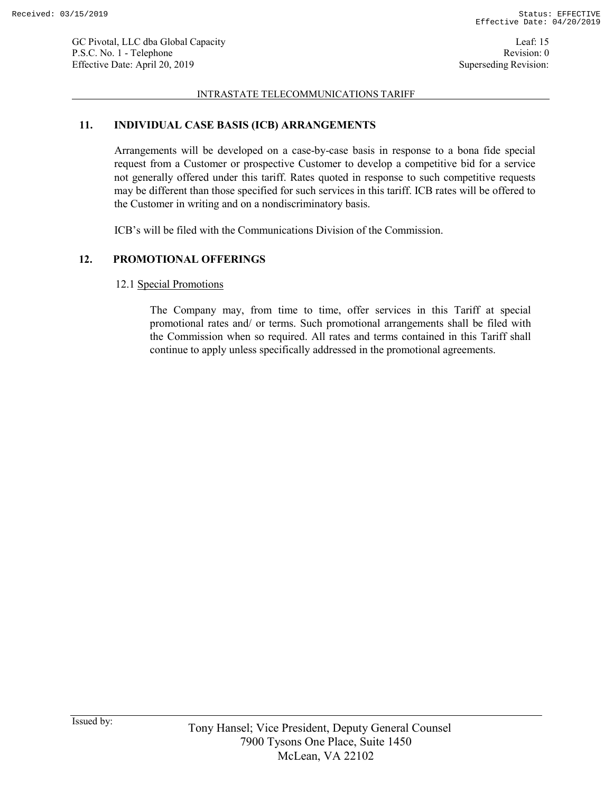### INTRASTATE TELECOMMUNICATIONS TARIFF

### **11. INDIVIDUAL CASE BASIS (ICB) ARRANGEMENTS**

Arrangements will be developed on a case-by-case basis in response to a bona fide special request from a Customer or prospective Customer to develop a competitive bid for a service not generally offered under this tariff. Rates quoted in response to such competitive requests may be different than those specified for such services in this tariff. ICB rates will be offered to the Customer in writing and on a nondiscriminatory basis.

ICB's will be filed with the Communications Division of the Commission.

# **12. PROMOTIONAL OFFERINGS**

### 12.1 Special Promotions

The Company may, from time to time, offer services in this Tariff at special promotional rates and/ or terms. Such promotional arrangements shall be filed with the Commission when so required. All rates and terms contained in this Tariff shall continue to apply unless specifically addressed in the promotional agreements.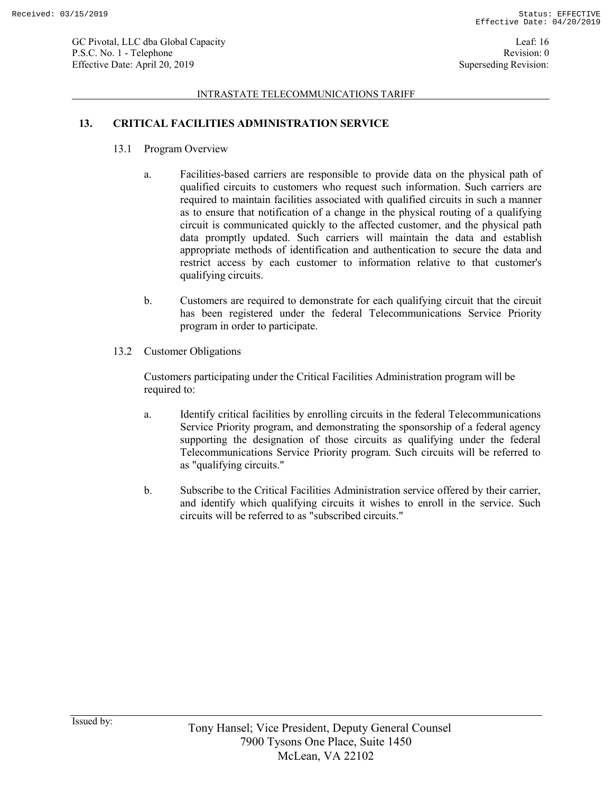#### INTRASTATE TELECOMMUNICATIONS TARIFF

# **13. CRITICAL FACILITIES ADMINISTRATION SERVICE**

- 13.1 Program Overview
	- a. Facilities-based carriers are responsible to provide data on the physical path of qualified circuits to customers who request such information. Such carriers are required to maintain facilities associated with qualified circuits in such a manner as to ensure that notification of a change in the physical routing of a qualifying circuit is communicated quickly to the affected customer, and the physical path data promptly updated. Such carriers will maintain the data and establish appropriate methods of identification and authentication to secure the data and restrict access by each customer to information relative to that customer's qualifying circuits.
	- b. Customers are required to demonstrate for each qualifying circuit that the circuit has been registered under the federal Telecommunications Service Priority program in order to participate.
- 13.2 Customer Obligations

Customers participating under the Critical Facilities Administration program will be required to:

- a. Identify critical facilities by enrolling circuits in the federal Telecommunications Service Priority program, and demonstrating the sponsorship of a federal agency supporting the designation of those circuits as qualifying under the federal Telecommunications Service Priority program. Such circuits will be referred to as "qualifying circuits."
- b. Subscribe to the Critical Facilities Administration service offered by their carrier, and identify which qualifying circuits it wishes to enroll in the service. Such circuits will be referred to as "subscribed circuits."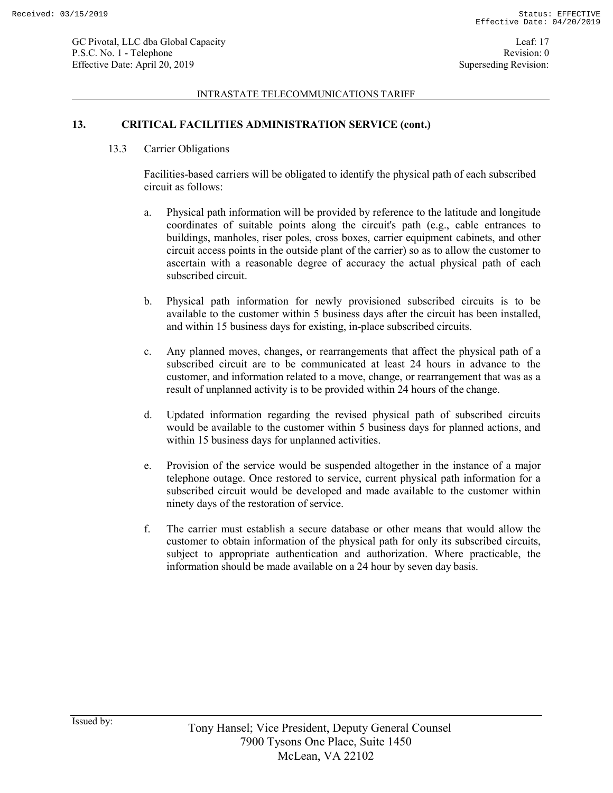#### INTRASTATE TELECOMMUNICATIONS TARIFF

### **13. CRITICAL FACILITIES ADMINISTRATION SERVICE (cont.)**

13.3 Carrier Obligations

Facilities-based carriers will be obligated to identify the physical path of each subscribed circuit as follows:

- a. Physical path information will be provided by reference to the latitude and longitude coordinates of suitable points along the circuit's path (e.g., cable entrances to buildings, manholes, riser poles, cross boxes, carrier equipment cabinets, and other circuit access points in the outside plant of the carrier) so as to allow the customer to ascertain with a reasonable degree of accuracy the actual physical path of each subscribed circuit.
- b. Physical path information for newly provisioned subscribed circuits is to be available to the customer within 5 business days after the circuit has been installed, and within 15 business days for existing, in-place subscribed circuits.
- c. Any planned moves, changes, or rearrangements that affect the physical path of a subscribed circuit are to be communicated at least 24 hours in advance to the customer, and information related to a move, change, or rearrangement that was as a result of unplanned activity is to be provided within 24 hours of the change.
- d. Updated information regarding the revised physical path of subscribed circuits would be available to the customer within 5 business days for planned actions, and within 15 business days for unplanned activities.
- e. Provision of the service would be suspended altogether in the instance of a major telephone outage. Once restored to service, current physical path information for a subscribed circuit would be developed and made available to the customer within ninety days of the restoration of service.
- f. The carrier must establish a secure database or other means that would allow the customer to obtain information of the physical path for only its subscribed circuits, subject to appropriate authentication and authorization. Where practicable, the information should be made available on a 24 hour by seven day basis.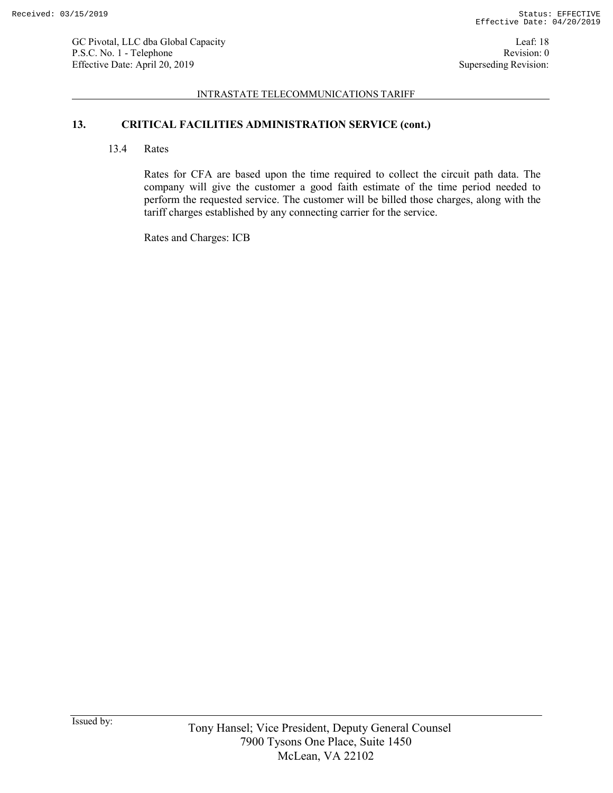#### INTRASTATE TELECOMMUNICATIONS TARIFF

# **13. CRITICAL FACILITIES ADMINISTRATION SERVICE (cont.)**

13.4 Rates

Rates for CFA are based upon the time required to collect the circuit path data. The company will give the customer a good faith estimate of the time period needed to perform the requested service. The customer will be billed those charges, along with the tariff charges established by any connecting carrier for the service.

Rates and Charges: ICB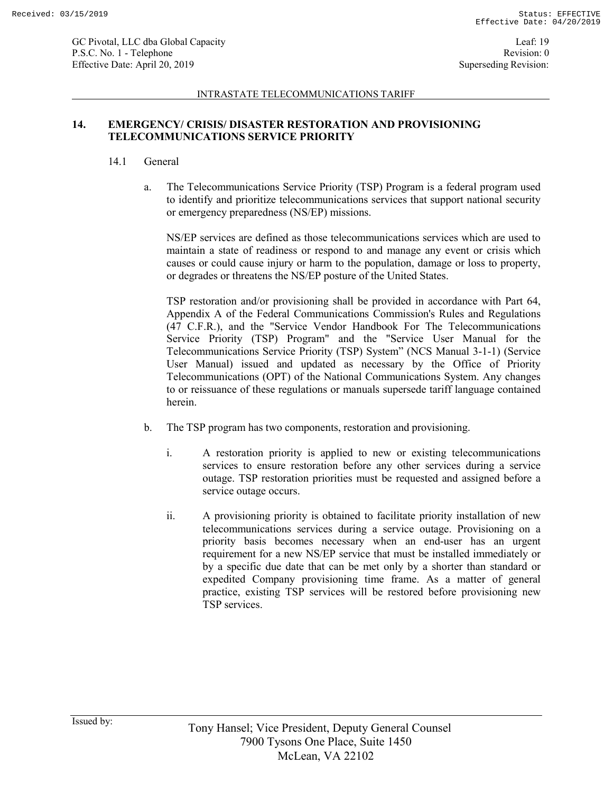#### INTRASTATE TELECOMMUNICATIONS TARIFF

# **14. EMERGENCY/ CRISIS/ DISASTER RESTORATION AND PROVISIONING TELECOMMUNICATIONS SERVICE PRIORITY**

### 14.1 General

a. The Telecommunications Service Priority (TSP) Program is a federal program used to identify and prioritize telecommunications services that support national security or emergency preparedness (NS/EP) missions.

NS/EP services are defined as those telecommunications services which are used to maintain a state of readiness or respond to and manage any event or crisis which causes or could cause injury or harm to the population, damage or loss to property, or degrades or threatens the NS/EP posture of the United States.

TSP restoration and/or provisioning shall be provided in accordance with Part 64, Appendix A of the Federal Communications Commission's Rules and Regulations (47 C.F.R.), and the "Service Vendor Handbook For The Telecommunications Service Priority (TSP) Program" and the "Service User Manual for the Telecommunications Service Priority (TSP) System" (NCS Manual 3-1-1) (Service User Manual) issued and updated as necessary by the Office of Priority Telecommunications (OPT) of the National Communications System. Any changes to or reissuance of these regulations or manuals supersede tariff language contained herein.

- b. The TSP program has two components, restoration and provisioning.
	- i. A restoration priority is applied to new or existing telecommunications services to ensure restoration before any other services during a service outage. TSP restoration priorities must be requested and assigned before a service outage occurs.
	- ii. A provisioning priority is obtained to facilitate priority installation of new telecommunications services during a service outage. Provisioning on a priority basis becomes necessary when an end-user has an urgent requirement for a new NS/EP service that must be installed immediately or by a specific due date that can be met only by a shorter than standard or expedited Company provisioning time frame. As a matter of general practice, existing TSP services will be restored before provisioning new TSP services.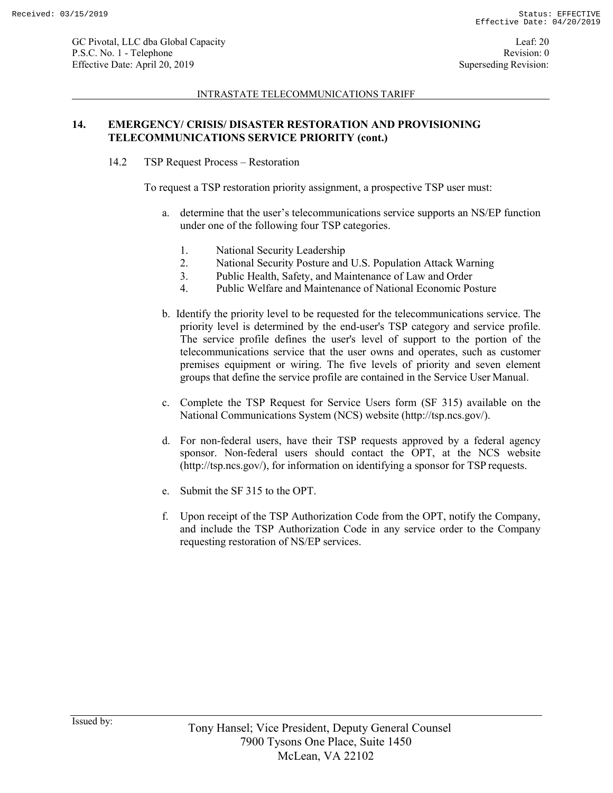#### INTRASTATE TELECOMMUNICATIONS TARIFF

# **14. EMERGENCY/ CRISIS/ DISASTER RESTORATION AND PROVISIONING TELECOMMUNICATIONS SERVICE PRIORITY (cont.)**

14.2 TSP Request Process – Restoration

To request a TSP restoration priority assignment, a prospective TSP user must:

- a. determine that the user's telecommunications service supports an NS/EP function under one of the following four TSP categories.
	- 1. National Security Leadership
	- 2. National Security Posture and U.S. Population Attack Warning
	- 3. Public Health, Safety, and Maintenance of Law and Order
	- 4. Public Welfare and Maintenance of National Economic Posture
- b. Identify the priority level to be requested for the telecommunications service. The priority level is determined by the end-user's TSP category and service profile. The service profile defines the user's level of support to the portion of the telecommunications service that the user owns and operates, such as customer premises equipment or wiring. The five levels of priority and seven element groups that define the service profile are contained in the Service User Manual.
- c. Complete the TSP Request for Service Users form (SF 315) available on the National Communications System (NCS) website (http://tsp.ncs.gov/).
- d. For non-federal users, have their TSP requests approved by a federal agency sponsor. Non-federal users should contact the OPT, at the NCS website (http://tsp.ncs.gov/), for information on identifying a sponsor for TSP requests.
- e. Submit the SF 315 to the OPT.
- f. Upon receipt of the TSP Authorization Code from the OPT, notify the Company, and include the TSP Authorization Code in any service order to the Company requesting restoration of NS/EP services.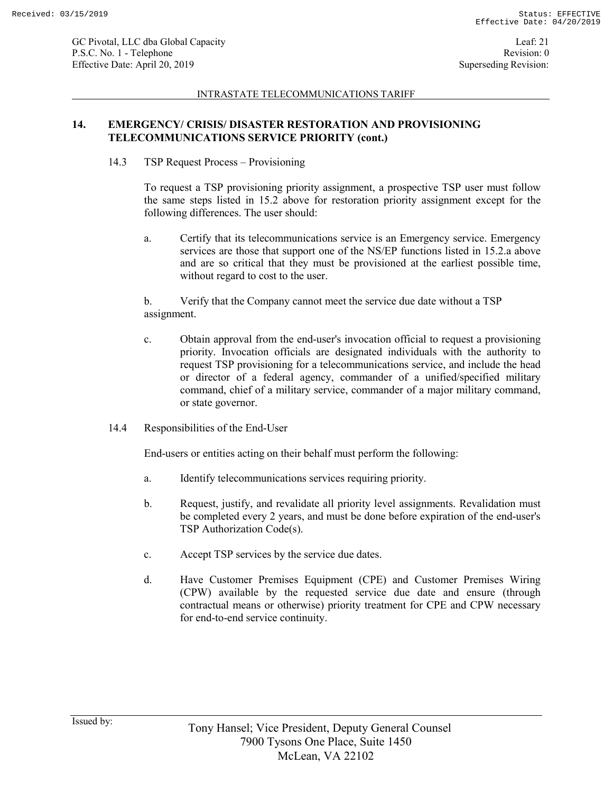#### INTRASTATE TELECOMMUNICATIONS TARIFF

# **14. EMERGENCY/ CRISIS/ DISASTER RESTORATION AND PROVISIONING TELECOMMUNICATIONS SERVICE PRIORITY (cont.)**

14.3 TSP Request Process – Provisioning

To request a TSP provisioning priority assignment, a prospective TSP user must follow the same steps listed in 15.2 above for restoration priority assignment except for the following differences. The user should:

a. Certify that its telecommunications service is an Emergency service. Emergency services are those that support one of the NS/EP functions listed in 15.2.a above and are so critical that they must be provisioned at the earliest possible time, without regard to cost to the user.

b. Verify that the Company cannot meet the service due date without a TSP assignment.

- c. Obtain approval from the end-user's invocation official to request a provisioning priority. Invocation officials are designated individuals with the authority to request TSP provisioning for a telecommunications service, and include the head or director of a federal agency, commander of a unified/specified military command, chief of a military service, commander of a major military command, or state governor.
- 14.4 Responsibilities of the End-User

End-users or entities acting on their behalf must perform the following:

- a. Identify telecommunications services requiring priority.
- b. Request, justify, and revalidate all priority level assignments. Revalidation must be completed every 2 years, and must be done before expiration of the end-user's TSP Authorization Code(s).
- c. Accept TSP services by the service due dates.
- d. Have Customer Premises Equipment (CPE) and Customer Premises Wiring (CPW) available by the requested service due date and ensure (through contractual means or otherwise) priority treatment for CPE and CPW necessary for end-to-end service continuity.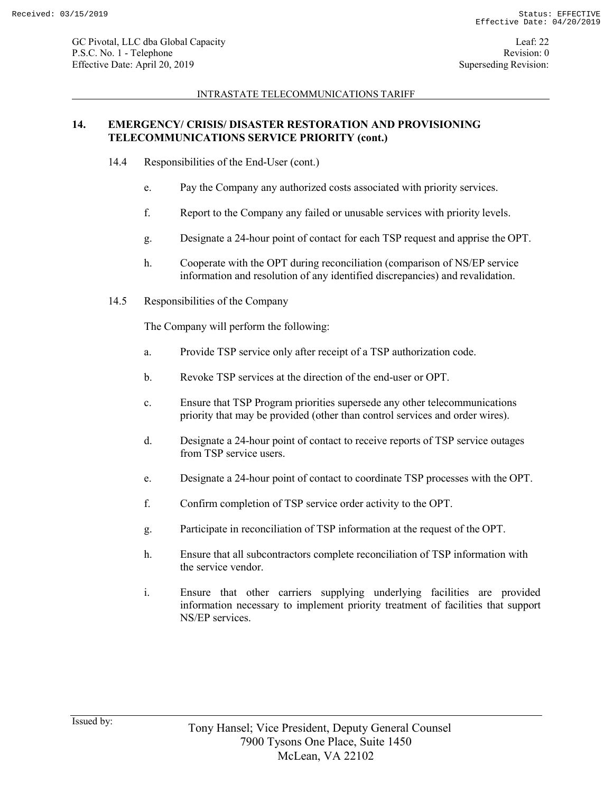### INTRASTATE TELECOMMUNICATIONS TARIFF

# **14. EMERGENCY/ CRISIS/ DISASTER RESTORATION AND PROVISIONING TELECOMMUNICATIONS SERVICE PRIORITY (cont.)**

- 14.4 Responsibilities of the End-User (cont.)
	- e. Pay the Company any authorized costs associated with priority services.
	- f. Report to the Company any failed or unusable services with priority levels.
	- g. Designate a 24-hour point of contact for each TSP request and apprise the OPT.
	- h. Cooperate with the OPT during reconciliation (comparison of NS/EP service information and resolution of any identified discrepancies) and revalidation.
- 14.5 Responsibilities of the Company

The Company will perform the following:

- a. Provide TSP service only after receipt of a TSP authorization code.
- b. Revoke TSP services at the direction of the end-user or OPT.
- c. Ensure that TSP Program priorities supersede any other telecommunications priority that may be provided (other than control services and order wires).
- d. Designate a 24-hour point of contact to receive reports of TSP service outages from TSP service users.
- e. Designate a 24-hour point of contact to coordinate TSP processes with the OPT.
- f. Confirm completion of TSP service order activity to the OPT.
- g. Participate in reconciliation of TSP information at the request of the OPT.
- h. Ensure that all subcontractors complete reconciliation of TSP information with the service vendor.
- i. Ensure that other carriers supplying underlying facilities are provided information necessary to implement priority treatment of facilities that support NS/EP services.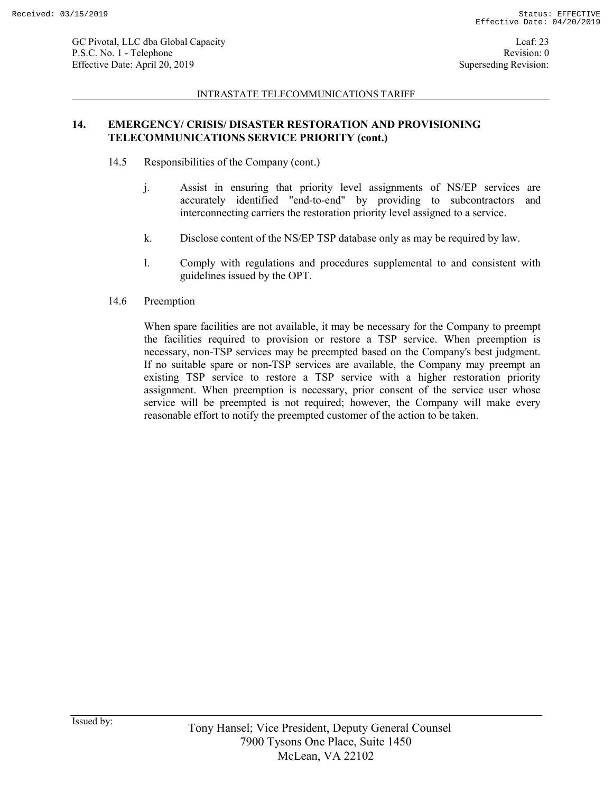#### INTRASTATE TELECOMMUNICATIONS TARIFF

# **14. EMERGENCY/ CRISIS/ DISASTER RESTORATION AND PROVISIONING TELECOMMUNICATIONS SERVICE PRIORITY (cont.)**

- 14.5 Responsibilities of the Company (cont.)
	- j. Assist in ensuring that priority level assignments of NS/EP services are accurately identified "end-to-end" by providing to subcontractors and interconnecting carriers the restoration priority level assigned to a service.
	- k. Disclose content of the NS/EP TSP database only as may be required by law.
	- l. Comply with regulations and procedures supplemental to and consistent with guidelines issued by the OPT.
- 14.6 Preemption

When spare facilities are not available, it may be necessary for the Company to preempt the facilities required to provision or restore a TSP service. When preemption is necessary, non-TSP services may be preempted based on the Company's best judgment. If no suitable spare or non-TSP services are available, the Company may preempt an existing TSP service to restore a TSP service with a higher restoration priority assignment. When preemption is necessary, prior consent of the service user whose service will be preempted is not required; however, the Company will make every reasonable effort to notify the preempted customer of the action to be taken.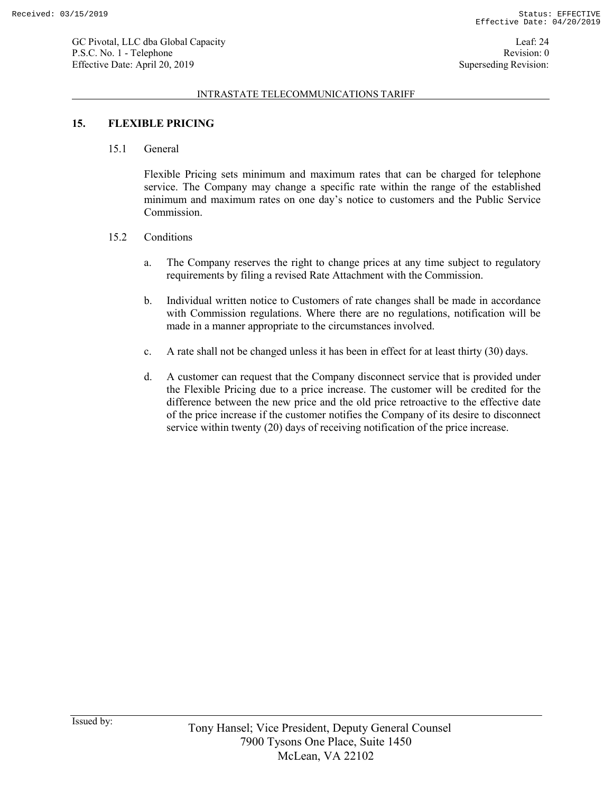#### INTRASTATE TELECOMMUNICATIONS TARIFF

# **15. FLEXIBLE PRICING**

15.1 General

Flexible Pricing sets minimum and maximum rates that can be charged for telephone service. The Company may change a specific rate within the range of the established minimum and maximum rates on one day's notice to customers and the Public Service Commission.

- 15.2 Conditions
	- a. The Company reserves the right to change prices at any time subject to regulatory requirements by filing a revised Rate Attachment with the Commission.
	- b. Individual written notice to Customers of rate changes shall be made in accordance with Commission regulations. Where there are no regulations, notification will be made in a manner appropriate to the circumstances involved.
	- c. A rate shall not be changed unless it has been in effect for at least thirty (30) days.
	- d. A customer can request that the Company disconnect service that is provided under the Flexible Pricing due to a price increase. The customer will be credited for the difference between the new price and the old price retroactive to the effective date of the price increase if the customer notifies the Company of its desire to disconnect service within twenty (20) days of receiving notification of the price increase.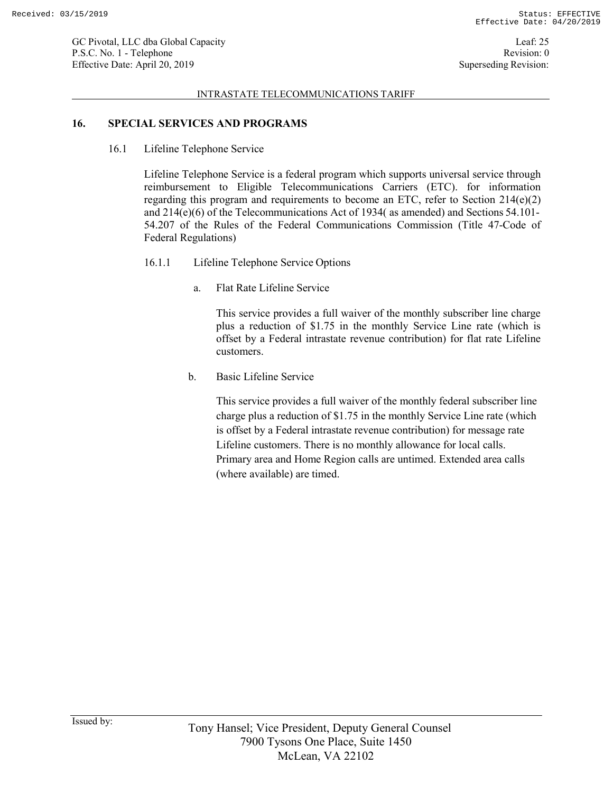#### INTRASTATE TELECOMMUNICATIONS TARIFF

### **16. SPECIAL SERVICES AND PROGRAMS**

16.1 Lifeline Telephone Service

Lifeline Telephone Service is a federal program which supports universal service through reimbursement to Eligible Telecommunications Carriers (ETC). for information regarding this program and requirements to become an ETC, refer to Section  $214(e)(2)$ and 214(e)(6) of the Telecommunications Act of 1934( as amended) and Sections 54.101- 54.207 of the Rules of the Federal Communications Commission (Title 47-Code of Federal Regulations)

- 16.1.1 Lifeline Telephone Service Options
	- a. Flat Rate Lifeline Service

This service provides a full waiver of the monthly subscriber line charge plus a reduction of \$1.75 in the monthly Service Line rate (which is offset by a Federal intrastate revenue contribution) for flat rate Lifeline customers.

b. Basic Lifeline Service

This service provides a full waiver of the monthly federal subscriber line charge plus a reduction of \$1.75 in the monthly Service Line rate (which is offset by a Federal intrastate revenue contribution) for message rate Lifeline customers. There is no monthly allowance for local calls. Primary area and Home Region calls are untimed. Extended area calls (where available) are timed.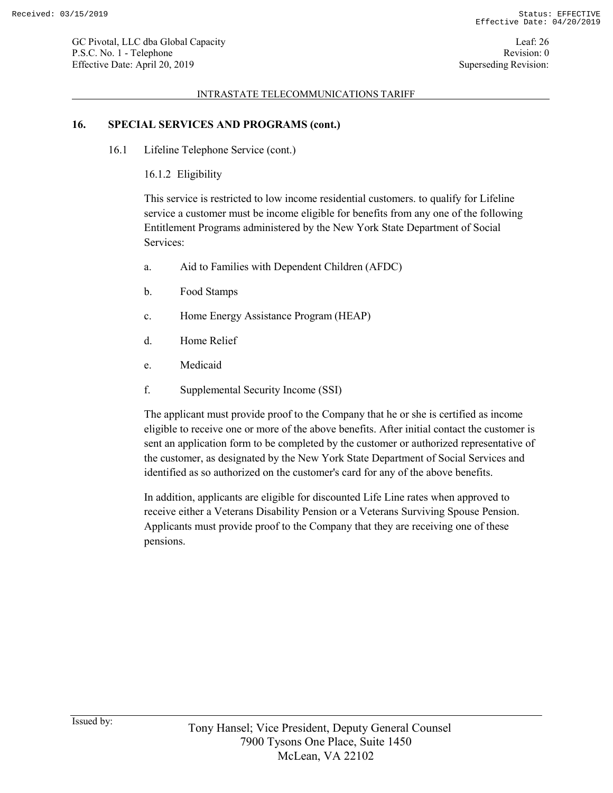### INTRASTATE TELECOMMUNICATIONS TARIFF

# **16. SPECIAL SERVICES AND PROGRAMS (cont.)**

16.1 Lifeline Telephone Service (cont.)

16.1.2 Eligibility

This service is restricted to low income residential customers. to qualify for Lifeline service a customer must be income eligible for benefits from any one of the following Entitlement Programs administered by the New York State Department of Social Services:

- a. Aid to Families with Dependent Children (AFDC)
- b. Food Stamps
- c. Home Energy Assistance Program (HEAP)
- d. Home Relief
- e. Medicaid
- f. Supplemental Security Income (SSI)

The applicant must provide proof to the Company that he or she is certified as income eligible to receive one or more of the above benefits. After initial contact the customer is sent an application form to be completed by the customer or authorized representative of the customer, as designated by the New York State Department of Social Services and identified as so authorized on the customer's card for any of the above benefits.

In addition, applicants are eligible for discounted Life Line rates when approved to receive either a Veterans Disability Pension or a Veterans Surviving Spouse Pension. Applicants must provide proof to the Company that they are receiving one of these pensions.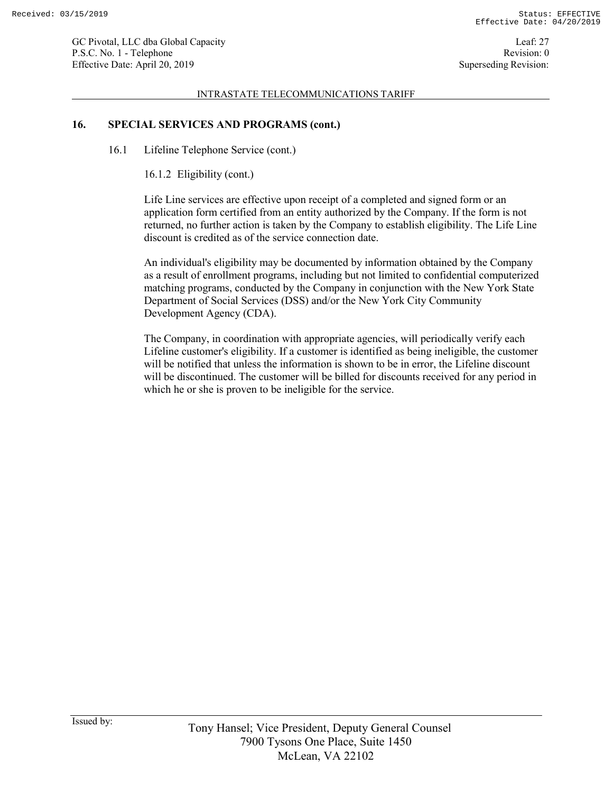Leaf: 27 Revision: 0 Superseding Revision:

#### INTRASTATE TELECOMMUNICATIONS TARIFF

### **16. SPECIAL SERVICES AND PROGRAMS (cont.)**

16.1 Lifeline Telephone Service (cont.)

16.1.2 Eligibility (cont.)

Life Line services are effective upon receipt of a completed and signed form or an application form certified from an entity authorized by the Company. If the form is not returned, no further action is taken by the Company to establish eligibility. The Life Line discount is credited as of the service connection date.

An individual's eligibility may be documented by information obtained by the Company as a result of enrollment programs, including but not limited to confidential computerized matching programs, conducted by the Company in conjunction with the New York State Department of Social Services (DSS) and/or the New York City Community Development Agency (CDA).

The Company, in coordination with appropriate agencies, will periodically verify each Lifeline customer's eligibility. If a customer is identified as being ineligible, the customer will be notified that unless the information is shown to be in error, the Lifeline discount will be discontinued. The customer will be billed for discounts received for any period in which he or she is proven to be ineligible for the service.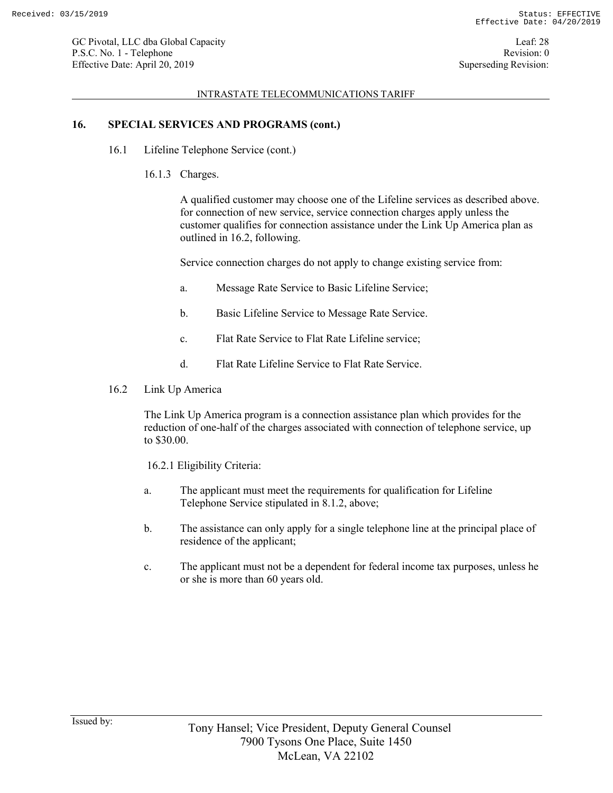#### INTRASTATE TELECOMMUNICATIONS TARIFF

# **16. SPECIAL SERVICES AND PROGRAMS (cont.)**

- 16.1 Lifeline Telephone Service (cont.)
	- 16.1.3 Charges.

A qualified customer may choose one of the Lifeline services as described above. for connection of new service, service connection charges apply unless the customer qualifies for connection assistance under the Link Up America plan as outlined in 16.2, following.

Service connection charges do not apply to change existing service from:

- a. Message Rate Service to Basic Lifeline Service;
- b. Basic Lifeline Service to Message Rate Service.
- c. Flat Rate Service to Flat Rate Lifeline service;
- d. Flat Rate Lifeline Service to Flat Rate Service.
- 16.2 Link Up America

The Link Up America program is a connection assistance plan which provides for the reduction of one-half of the charges associated with connection of telephone service, up to \$30.00.

16.2.1 Eligibility Criteria:

- a. The applicant must meet the requirements for qualification for Lifeline Telephone Service stipulated in 8.1.2, above;
- b. The assistance can only apply for a single telephone line at the principal place of residence of the applicant;
- c. The applicant must not be a dependent for federal income tax purposes, unless he or she is more than 60 years old.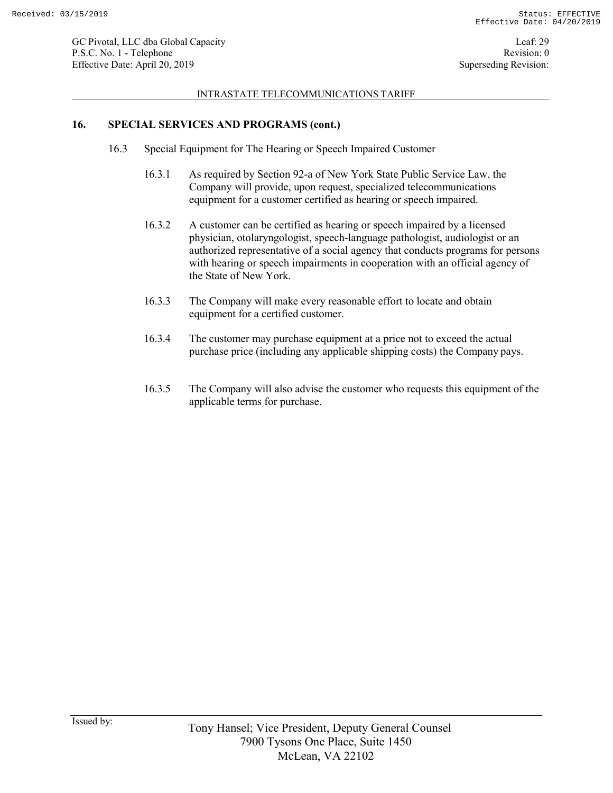#### INTRASTATE TELECOMMUNICATIONS TARIFF

# **16. SPECIAL SERVICES AND PROGRAMS (cont.)**

- 16.3 Special Equipment for The Hearing or Speech Impaired Customer
	- 16.3.1 As required by Section 92-a of New York State Public Service Law, the Company will provide, upon request, specialized telecommunications equipment for a customer certified as hearing or speech impaired.
	- 16.3.2 A customer can be certified as hearing or speech impaired by a licensed physician, otolaryngologist, speech-language pathologist, audiologist or an authorized representative of a social agency that conducts programs for persons with hearing or speech impairments in cooperation with an official agency of the State of New York.
	- 16.3.3 The Company will make every reasonable effort to locate and obtain equipment for a certified customer.
	- 16.3.4 The customer may purchase equipment at a price not to exceed the actual purchase price (including any applicable shipping costs) the Company pays.
	- 16.3.5 The Company will also advise the customer who requests this equipment of the applicable terms for purchase.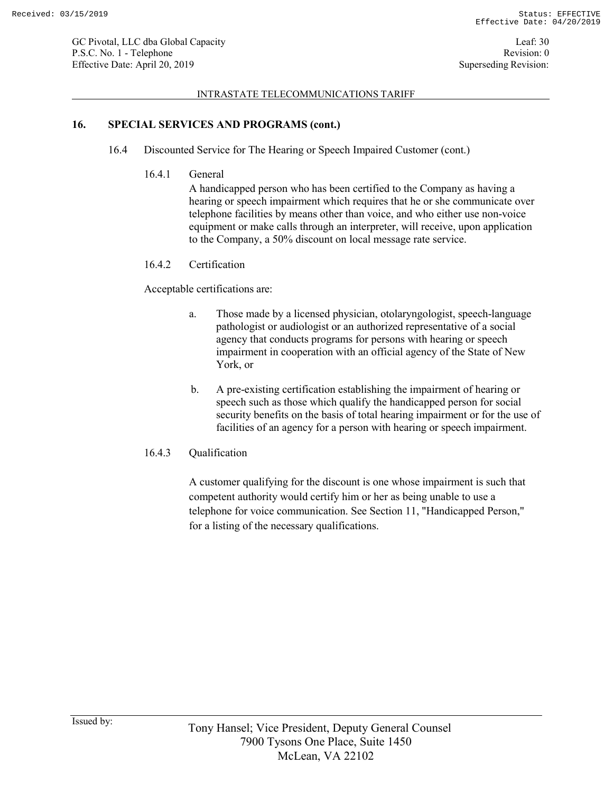#### INTRASTATE TELECOMMUNICATIONS TARIFF

### **16. SPECIAL SERVICES AND PROGRAMS (cont.)**

- 16.4 Discounted Service for The Hearing or Speech Impaired Customer (cont.)
	- 16.4.1 General

A handicapped person who has been certified to the Company as having a hearing or speech impairment which requires that he or she communicate over telephone facilities by means other than voice, and who either use non-voice equipment or make calls through an interpreter, will receive, upon application to the Company, a 50% discount on local message rate service.

### 16.4.2 Certification

Acceptable certifications are:

- a. Those made by a licensed physician, otolaryngologist, speech-language pathologist or audiologist or an authorized representative of a social agency that conducts programs for persons with hearing or speech impairment in cooperation with an official agency of the State of New York, or
- b. A pre-existing certification establishing the impairment of hearing or speech such as those which qualify the handicapped person for social security benefits on the basis of total hearing impairment or for the use of facilities of an agency for a person with hearing or speech impairment.
- 16.4.3 Qualification

A customer qualifying for the discount is one whose impairment is such that competent authority would certify him or her as being unable to use a telephone for voice communication. See Section 11, "Handicapped Person," for a listing of the necessary qualifications.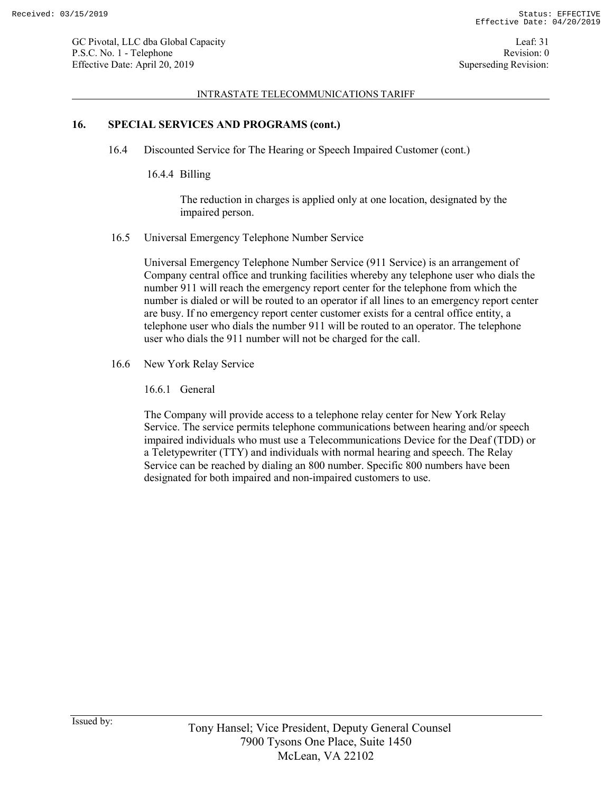#### INTRASTATE TELECOMMUNICATIONS TARIFF

### **16. SPECIAL SERVICES AND PROGRAMS (cont.)**

- 16.4 Discounted Service for The Hearing or Speech Impaired Customer (cont.)
	- 16.4.4 Billing

The reduction in charges is applied only at one location, designated by the impaired person.

16.5 Universal Emergency Telephone Number Service

Universal Emergency Telephone Number Service (911 Service) is an arrangement of Company central office and trunking facilities whereby any telephone user who dials the number 911 will reach the emergency report center for the telephone from which the number is dialed or will be routed to an operator if all lines to an emergency report center are busy. If no emergency report center customer exists for a central office entity, a telephone user who dials the number 911 will be routed to an operator. The telephone user who dials the 911 number will not be charged for the call.

- 16.6 New York Relay Service
	- 16.6.1 General

The Company will provide access to a telephone relay center for New York Relay Service. The service permits telephone communications between hearing and/or speech impaired individuals who must use a Telecommunications Device for the Deaf (TDD) or a Teletypewriter (TTY) and individuals with normal hearing and speech. The Relay Service can be reached by dialing an 800 number. Specific 800 numbers have been designated for both impaired and non-impaired customers to use.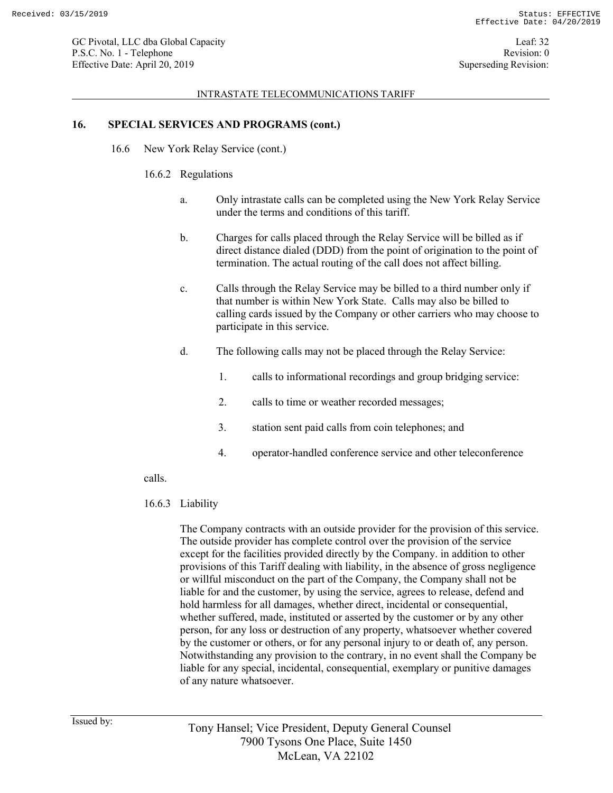#### INTRASTATE TELECOMMUNICATIONS TARIFF

### **16. SPECIAL SERVICES AND PROGRAMS (cont.)**

16.6 New York Relay Service (cont.)

### 16.6.2 Regulations

- a. Only intrastate calls can be completed using the New York Relay Service under the terms and conditions of this tariff.
- b. Charges for calls placed through the Relay Service will be billed as if direct distance dialed (DDD) from the point of origination to the point of termination. The actual routing of the call does not affect billing.
- c. Calls through the Relay Service may be billed to a third number only if that number is within New York State. Calls may also be billed to calling cards issued by the Company or other carriers who may choose to participate in this service.
- d. The following calls may not be placed through the Relay Service:
	- 1. calls to informational recordings and group bridging service:
	- 2. calls to time or weather recorded messages;
	- 3. station sent paid calls from coin telephones; and
	- 4. operator-handled conference service and other teleconference

calls.

### 16.6.3 Liability

The Company contracts with an outside provider for the provision of this service. The outside provider has complete control over the provision of the service except for the facilities provided directly by the Company. in addition to other provisions of this Tariff dealing with liability, in the absence of gross negligence or willful misconduct on the part of the Company, the Company shall not be liable for and the customer, by using the service, agrees to release, defend and hold harmless for all damages, whether direct, incidental or consequential, whether suffered, made, instituted or asserted by the customer or by any other person, for any loss or destruction of any property, whatsoever whether covered by the customer or others, or for any personal injury to or death of, any person. Notwithstanding any provision to the contrary, in no event shall the Company be liable for any special, incidental, consequential, exemplary or punitive damages of any nature whatsoever.

Issued by: Tony Hansel; Vice President, Deputy General Counsel 7900 Tysons One Place, Suite 1450 McLean, VA 22102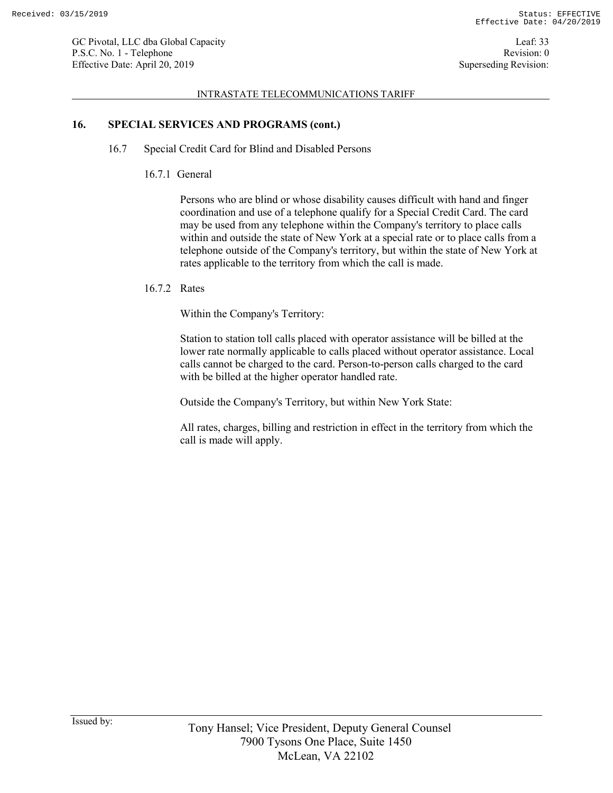#### INTRASTATE TELECOMMUNICATIONS TARIFF

### **16. SPECIAL SERVICES AND PROGRAMS (cont.)**

- 16.7 Special Credit Card for Blind and Disabled Persons
	- 16.7.1 General

Persons who are blind or whose disability causes difficult with hand and finger coordination and use of a telephone qualify for a Special Credit Card. The card may be used from any telephone within the Company's territory to place calls within and outside the state of New York at a special rate or to place calls from a telephone outside of the Company's territory, but within the state of New York at rates applicable to the territory from which the call is made.

### 16.7.2 Rates

Within the Company's Territory:

Station to station toll calls placed with operator assistance will be billed at the lower rate normally applicable to calls placed without operator assistance. Local calls cannot be charged to the card. Person-to-person calls charged to the card with be billed at the higher operator handled rate.

Outside the Company's Territory, but within New York State:

All rates, charges, billing and restriction in effect in the territory from which the call is made will apply.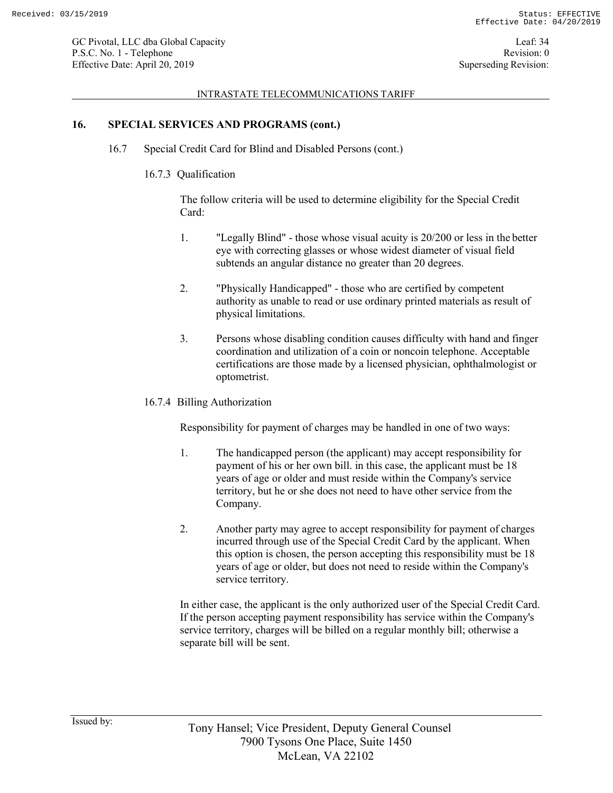#### INTRASTATE TELECOMMUNICATIONS TARIFF

### **16. SPECIAL SERVICES AND PROGRAMS (cont.)**

- 16.7 Special Credit Card for Blind and Disabled Persons (cont.)
	- 16.7.3 Qualification

The follow criteria will be used to determine eligibility for the Special Credit Card:

- 1. "Legally Blind" those whose visual acuity is 20/200 or less in the better eye with correcting glasses or whose widest diameter of visual field subtends an angular distance no greater than 20 degrees.
- 2. "Physically Handicapped" those who are certified by competent authority as unable to read or use ordinary printed materials as result of physical limitations.
- 3. Persons whose disabling condition causes difficulty with hand and finger coordination and utilization of a coin or noncoin telephone. Acceptable certifications are those made by a licensed physician, ophthalmologist or optometrist.
- 16.7.4 Billing Authorization

Responsibility for payment of charges may be handled in one of two ways:

- 1. The handicapped person (the applicant) may accept responsibility for payment of his or her own bill. in this case, the applicant must be 18 years of age or older and must reside within the Company's service territory, but he or she does not need to have other service from the Company.
- 2. Another party may agree to accept responsibility for payment of charges incurred through use of the Special Credit Card by the applicant. When this option is chosen, the person accepting this responsibility must be 18 years of age or older, but does not need to reside within the Company's service territory.

In either case, the applicant is the only authorized user of the Special Credit Card. If the person accepting payment responsibility has service within the Company's service territory, charges will be billed on a regular monthly bill; otherwise a separate bill will be sent.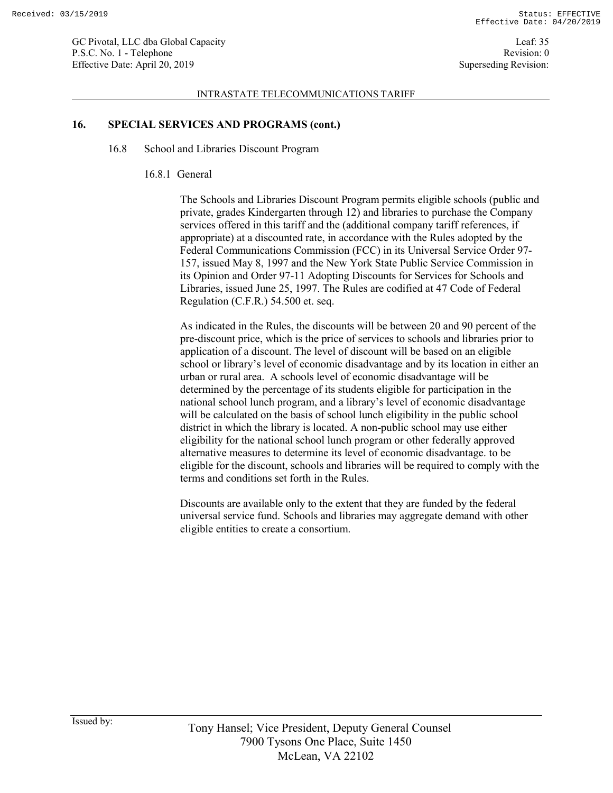#### INTRASTATE TELECOMMUNICATIONS TARIFF

# **16. SPECIAL SERVICES AND PROGRAMS (cont.)**

- 16.8 School and Libraries Discount Program
	- 16.8.1 General

The Schools and Libraries Discount Program permits eligible schools (public and private, grades Kindergarten through 12) and libraries to purchase the Company services offered in this tariff and the (additional company tariff references, if appropriate) at a discounted rate, in accordance with the Rules adopted by the Federal Communications Commission (FCC) in its Universal Service Order 97- 157, issued May 8, 1997 and the New York State Public Service Commission in its Opinion and Order 97-11 Adopting Discounts for Services for Schools and Libraries, issued June 25, 1997. The Rules are codified at 47 Code of Federal Regulation (C.F.R.) 54.500 et. seq.

As indicated in the Rules, the discounts will be between 20 and 90 percent of the pre-discount price, which is the price of services to schools and libraries prior to application of a discount. The level of discount will be based on an eligible school or library's level of economic disadvantage and by its location in either an urban or rural area. A schools level of economic disadvantage will be determined by the percentage of its students eligible for participation in the national school lunch program, and a library's level of economic disadvantage will be calculated on the basis of school lunch eligibility in the public school district in which the library is located. A non-public school may use either eligibility for the national school lunch program or other federally approved alternative measures to determine its level of economic disadvantage. to be eligible for the discount, schools and libraries will be required to comply with the terms and conditions set forth in the Rules.

Discounts are available only to the extent that they are funded by the federal universal service fund. Schools and libraries may aggregate demand with other eligible entities to create a consortium.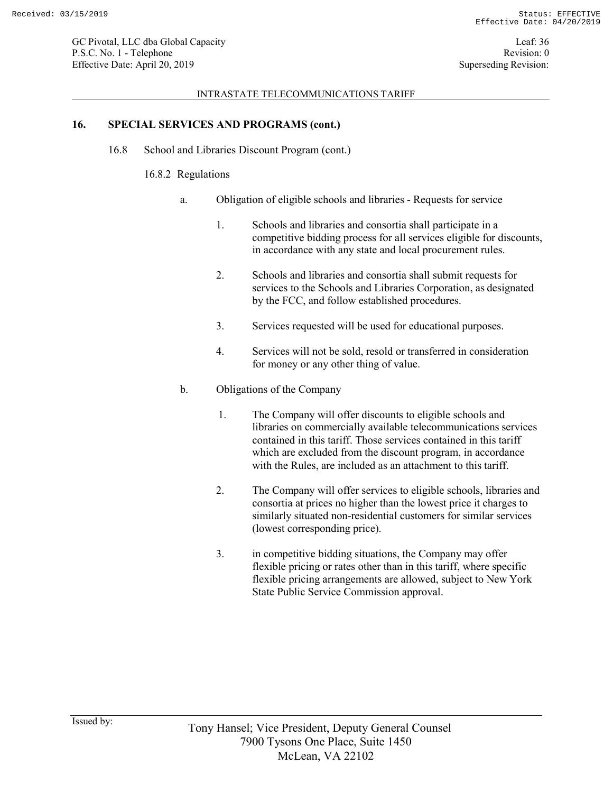#### INTRASTATE TELECOMMUNICATIONS TARIFF

### **16. SPECIAL SERVICES AND PROGRAMS (cont.)**

16.8 School and Libraries Discount Program (cont.)

### 16.8.2 Regulations

- a. Obligation of eligible schools and libraries Requests for service
	- 1. Schools and libraries and consortia shall participate in a competitive bidding process for all services eligible for discounts, in accordance with any state and local procurement rules.
	- 2. Schools and libraries and consortia shall submit requests for services to the Schools and Libraries Corporation, as designated by the FCC, and follow established procedures.
	- 3. Services requested will be used for educational purposes.
	- 4. Services will not be sold, resold or transferred in consideration for money or any other thing of value.
- b. Obligations of the Company
	- 1. The Company will offer discounts to eligible schools and libraries on commercially available telecommunications services contained in this tariff. Those services contained in this tariff which are excluded from the discount program, in accordance with the Rules, are included as an attachment to this tariff.
	- 2. The Company will offer services to eligible schools, libraries and consortia at prices no higher than the lowest price it charges to similarly situated non-residential customers for similar services (lowest corresponding price).
	- 3. in competitive bidding situations, the Company may offer flexible pricing or rates other than in this tariff, where specific flexible pricing arrangements are allowed, subject to New York State Public Service Commission approval.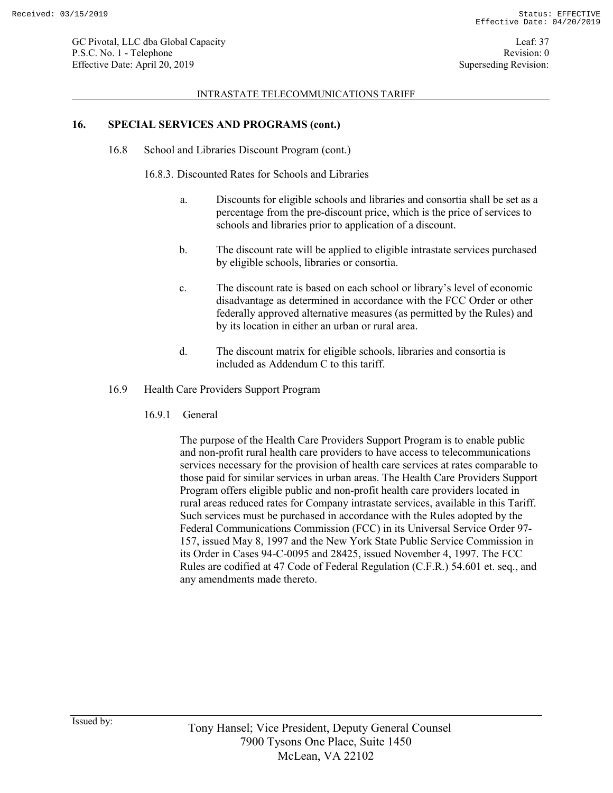#### INTRASTATE TELECOMMUNICATIONS TARIFF

### **16. SPECIAL SERVICES AND PROGRAMS (cont.)**

16.8 School and Libraries Discount Program (cont.)

16.8.3. Discounted Rates for Schools and Libraries

- a. Discounts for eligible schools and libraries and consortia shall be set as a percentage from the pre-discount price, which is the price of services to schools and libraries prior to application of a discount.
- b. The discount rate will be applied to eligible intrastate services purchased by eligible schools, libraries or consortia.
- c. The discount rate is based on each school or library's level of economic disadvantage as determined in accordance with the FCC Order or other federally approved alternative measures (as permitted by the Rules) and by its location in either an urban or rural area.
- d. The discount matrix for eligible schools, libraries and consortia is included as Addendum C to this tariff.
- 16.9 Health Care Providers Support Program
	- 16.9.1 General

The purpose of the Health Care Providers Support Program is to enable public and non-profit rural health care providers to have access to telecommunications services necessary for the provision of health care services at rates comparable to those paid for similar services in urban areas. The Health Care Providers Support Program offers eligible public and non-profit health care providers located in rural areas reduced rates for Company intrastate services, available in this Tariff. Such services must be purchased in accordance with the Rules adopted by the Federal Communications Commission (FCC) in its Universal Service Order 97- 157, issued May 8, 1997 and the New York State Public Service Commission in its Order in Cases 94-C-0095 and 28425, issued November 4, 1997. The FCC Rules are codified at 47 Code of Federal Regulation (C.F.R.) 54.601 et. seq., and any amendments made thereto.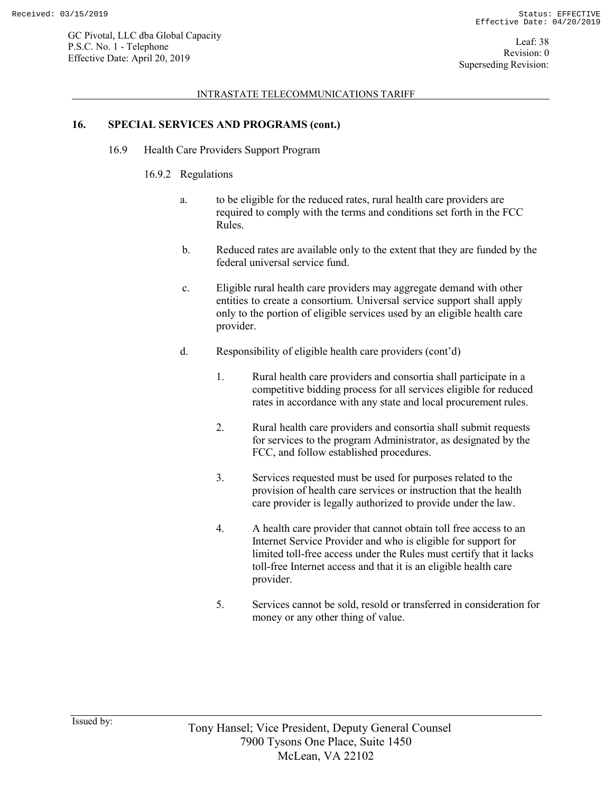#### INTRASTATE TELECOMMUNICATIONS TARIFF

### **16. SPECIAL SERVICES AND PROGRAMS (cont.)**

16.9 Health Care Providers Support Program

### 16.9.2 Regulations

- a. to be eligible for the reduced rates, rural health care providers are required to comply with the terms and conditions set forth in the FCC Rules.
- b. Reduced rates are available only to the extent that they are funded by the federal universal service fund.
- c. Eligible rural health care providers may aggregate demand with other entities to create a consortium. Universal service support shall apply only to the portion of eligible services used by an eligible health care provider.
- d. Responsibility of eligible health care providers (cont'd)
	- 1. Rural health care providers and consortia shall participate in a competitive bidding process for all services eligible for reduced rates in accordance with any state and local procurement rules.
	- 2. Rural health care providers and consortia shall submit requests for services to the program Administrator, as designated by the FCC, and follow established procedures.
	- 3. Services requested must be used for purposes related to the provision of health care services or instruction that the health care provider is legally authorized to provide under the law.
	- 4. A health care provider that cannot obtain toll free access to an Internet Service Provider and who is eligible for support for limited toll-free access under the Rules must certify that it lacks toll-free Internet access and that it is an eligible health care provider.
	- 5. Services cannot be sold, resold or transferred in consideration for money or any other thing of value.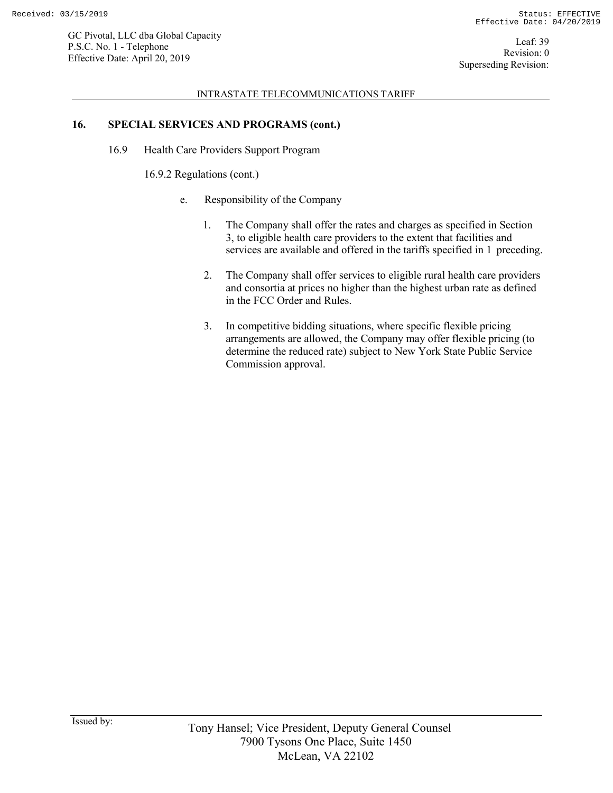#### INTRASTATE TELECOMMUNICATIONS TARIFF

### **16. SPECIAL SERVICES AND PROGRAMS (cont.)**

16.9 Health Care Providers Support Program

16.9.2 Regulations (cont.)

- e. Responsibility of the Company
	- 1. The Company shall offer the rates and charges as specified in Section 3, to eligible health care providers to the extent that facilities and services are available and offered in the tariffs specified in 1 preceding.
	- 2. The Company shall offer services to eligible rural health care providers and consortia at prices no higher than the highest urban rate as defined in the FCC Order and Rules.
	- 3. In competitive bidding situations, where specific flexible pricing arrangements are allowed, the Company may offer flexible pricing (to determine the reduced rate) subject to New York State Public Service Commission approval.